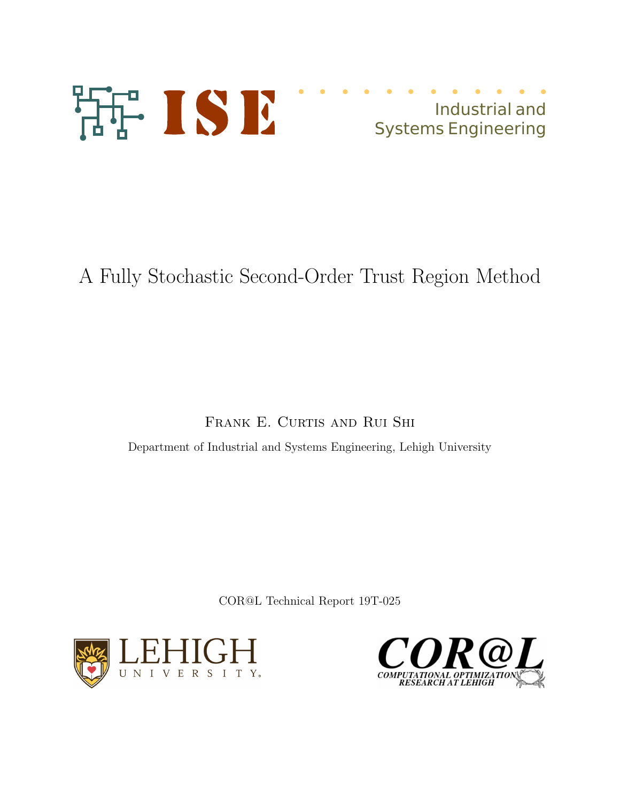

# Industrial and Systems Engineering

# A Fully Stochastic Second-Order Trust Region Method

## FRANK E. CURTIS AND RUI SHI

Department of Industrial and Systems Engineering, Lehigh University

COR@L Technical Report 19T-025



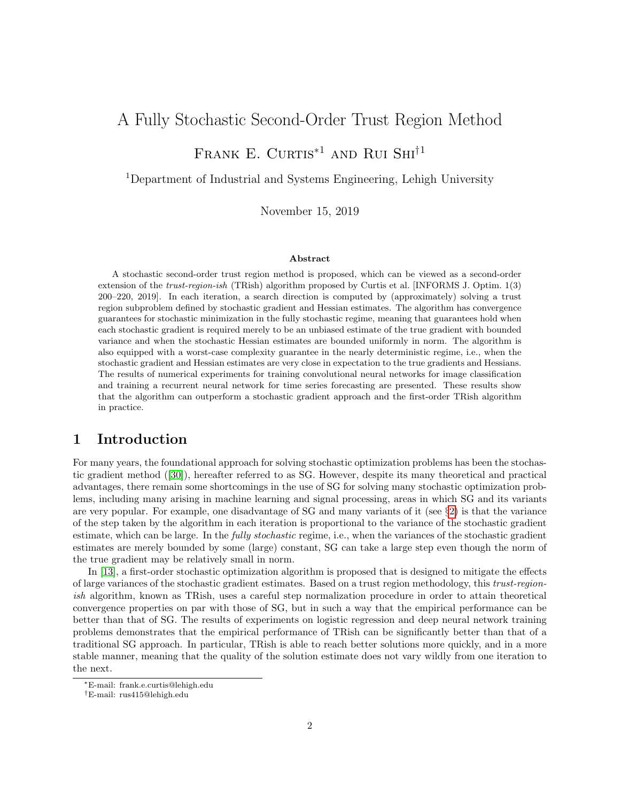## A Fully Stochastic Second-Order Trust Region Method

## FRANK E. CURTIS<sup>\*1</sup> AND RUI SHI<sup>†1</sup>

<sup>1</sup>Department of Industrial and Systems Engineering, Lehigh University

November 15, 2019

#### Abstract

A stochastic second-order trust region method is proposed, which can be viewed as a second-order extension of the trust-region-ish (TRish) algorithm proposed by Curtis et al. [INFORMS J. Optim. 1(3) 200–220, 2019]. In each iteration, a search direction is computed by (approximately) solving a trust region subproblem defined by stochastic gradient and Hessian estimates. The algorithm has convergence guarantees for stochastic minimization in the fully stochastic regime, meaning that guarantees hold when each stochastic gradient is required merely to be an unbiased estimate of the true gradient with bounded variance and when the stochastic Hessian estimates are bounded uniformly in norm. The algorithm is also equipped with a worst-case complexity guarantee in the nearly deterministic regime, i.e., when the stochastic gradient and Hessian estimates are very close in expectation to the true gradients and Hessians. The results of numerical experiments for training convolutional neural networks for image classification and training a recurrent neural network for time series forecasting are presented. These results show that the algorithm can outperform a stochastic gradient approach and the first-order TRish algorithm in practice.

## 1 Introduction

For many years, the foundational approach for solving stochastic optimization problems has been the stochastic gradient method ([\[30\]](#page-26-0)), hereafter referred to as SG. However, despite its many theoretical and practical advantages, there remain some shortcomings in the use of SG for solving many stochastic optimization problems, including many arising in machine learning and signal processing, areas in which SG and its variants are very popular. For example, one disadvantage of SG and many variants of it (see §[2\)](#page-2-0) is that the variance of the step taken by the algorithm in each iteration is proportional to the variance of the stochastic gradient estimate, which can be large. In the *fully stochastic* regime, i.e., when the variances of the stochastic gradient estimates are merely bounded by some (large) constant, SG can take a large step even though the norm of the true gradient may be relatively small in norm.

In [\[13\]](#page-25-0), a first-order stochastic optimization algorithm is proposed that is designed to mitigate the effects of large variances of the stochastic gradient estimates. Based on a trust region methodology, this trust-regionish algorithm, known as TRish, uses a careful step normalization procedure in order to attain theoretical convergence properties on par with those of SG, but in such a way that the empirical performance can be better than that of SG. The results of experiments on logistic regression and deep neural network training problems demonstrates that the empirical performance of TRish can be significantly better than that of a traditional SG approach. In particular, TRish is able to reach better solutions more quickly, and in a more stable manner, meaning that the quality of the solution estimate does not vary wildly from one iteration to the next.

<sup>∗</sup>E-mail: frank.e.curtis@lehigh.edu

<sup>†</sup>E-mail: rus415@lehigh.edu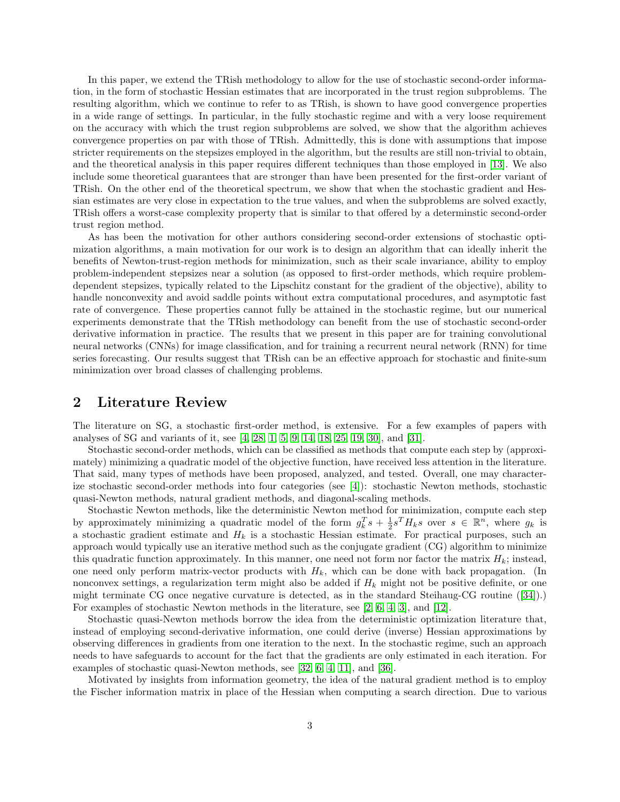In this paper, we extend the TRish methodology to allow for the use of stochastic second-order information, in the form of stochastic Hessian estimates that are incorporated in the trust region subproblems. The resulting algorithm, which we continue to refer to as TRish, is shown to have good convergence properties in a wide range of settings. In particular, in the fully stochastic regime and with a very loose requirement on the accuracy with which the trust region subproblems are solved, we show that the algorithm achieves convergence properties on par with those of TRish. Admittedly, this is done with assumptions that impose stricter requirements on the stepsizes employed in the algorithm, but the results are still non-trivial to obtain, and the theoretical analysis in this paper requires different techniques than those employed in [\[13\]](#page-25-0). We also include some theoretical guarantees that are stronger than have been presented for the first-order variant of TRish. On the other end of the theoretical spectrum, we show that when the stochastic gradient and Hessian estimates are very close in expectation to the true values, and when the subproblems are solved exactly, TRish offers a worst-case complexity property that is similar to that offered by a determinstic second-order trust region method.

As has been the motivation for other authors considering second-order extensions of stochastic optimization algorithms, a main motivation for our work is to design an algorithm that can ideally inherit the benefits of Newton-trust-region methods for minimization, such as their scale invariance, ability to employ problem-independent stepsizes near a solution (as opposed to first-order methods, which require problemdependent stepsizes, typically related to the Lipschitz constant for the gradient of the objective), ability to handle nonconvexity and avoid saddle points without extra computational procedures, and asymptotic fast rate of convergence. These properties cannot fully be attained in the stochastic regime, but our numerical experiments demonstrate that the TRish methodology can benefit from the use of stochastic second-order derivative information in practice. The results that we present in this paper are for training convolutional neural networks (CNNs) for image classification, and for training a recurrent neural network (RNN) for time series forecasting. Our results suggest that TRish can be an effective approach for stochastic and finite-sum minimization over broad classes of challenging problems.

### <span id="page-2-0"></span>2 Literature Review

The literature on SG, a stochastic first-order method, is extensive. For a few examples of papers with analyses of SG and variants of it, see [\[4,](#page-24-0) [28,](#page-25-1) [1,](#page-24-1) [5,](#page-24-2) [9,](#page-24-3) [14,](#page-25-2) [18,](#page-25-3) [25,](#page-25-4) [19,](#page-25-5) [30\]](#page-26-0), and [\[31\]](#page-26-1).

Stochastic second-order methods, which can be classified as methods that compute each step by (approximately) minimizing a quadratic model of the objective function, have received less attention in the literature. That said, many types of methods have been proposed, analyzed, and tested. Overall, one may characterize stochastic second-order methods into four categories (see [\[4\]](#page-24-0)): stochastic Newton methods, stochastic quasi-Newton methods, natural gradient methods, and diagonal-scaling methods.

Stochastic Newton methods, like the deterministic Newton method for minimization, compute each step by approximately minimizing a quadratic model of the form  $g_k^T s + \frac{1}{2} s^T H_k s$  over  $s \in \mathbb{R}^n$ , where  $g_k$  is a stochastic gradient estimate and  $H_k$  is a stochastic Hessian estimate. For practical purposes, such an approach would typically use an iterative method such as the conjugate gradient (CG) algorithm to minimize this quadratic function approximately. In this manner, one need not form nor factor the matrix  $H_k$ ; instead, one need only perform matrix-vector products with  $H_k$ , which can be done with back propagation. (In nonconvex settings, a regularization term might also be added if  $H_k$  might not be positive definite, or one might terminate CG once negative curvature is detected, as in the standard Steihaug-CG routine ([\[34\]](#page-26-2)).) For examples of stochastic Newton methods in the literature, see [\[2,](#page-24-4) [6,](#page-24-5) [4,](#page-24-0) [3\]](#page-24-6), and [\[12\]](#page-25-6).

Stochastic quasi-Newton methods borrow the idea from the deterministic optimization literature that, instead of employing second-derivative information, one could derive (inverse) Hessian approximations by observing differences in gradients from one iteration to the next. In the stochastic regime, such an approach needs to have safeguards to account for the fact that the gradients are only estimated in each iteration. For examples of stochastic quasi-Newton methods, see [\[32,](#page-26-3) [6,](#page-24-5) [4,](#page-24-0) [11\]](#page-25-7), and [\[36\]](#page-26-4).

Motivated by insights from information geometry, the idea of the natural gradient method is to employ the Fischer information matrix in place of the Hessian when computing a search direction. Due to various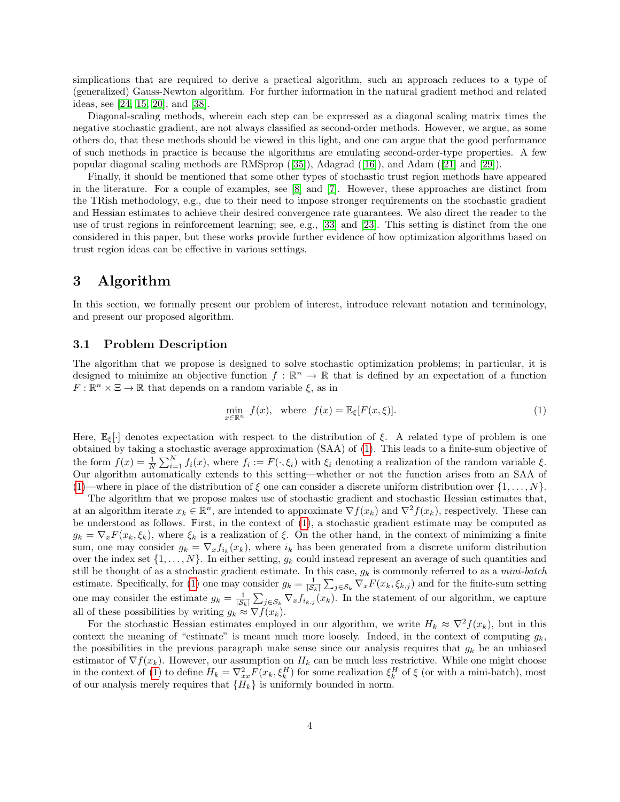simplications that are required to derive a practical algorithm, such an approach reduces to a type of (generalized) Gauss-Newton algorithm. For further information in the natural gradient method and related ideas, see [\[24,](#page-25-8) [15,](#page-25-9) [20\]](#page-25-10), and [\[38\]](#page-26-5).

Diagonal-scaling methods, wherein each step can be expressed as a diagonal scaling matrix times the negative stochastic gradient, are not always classified as second-order methods. However, we argue, as some others do, that these methods should be viewed in this light, and one can argue that the good performance of such methods in practice is because the algorithms are emulating second-order-type properties. A few popular diagonal scaling methods are RMSprop ([\[35\]](#page-26-6)), Adagrad ([\[16\]](#page-25-11)), and Adam ([\[21\]](#page-25-12) and [\[29\]](#page-25-13)).

Finally, it should be mentioned that some other types of stochastic trust region methods have appeared in the literature. For a couple of examples, see [\[8\]](#page-24-7) and [\[7\]](#page-24-8). However, these approaches are distinct from the TRish methodology, e.g., due to their need to impose stronger requirements on the stochastic gradient and Hessian estimates to achieve their desired convergence rate guarantees. We also direct the reader to the use of trust regions in reinforcement learning; see, e.g., [\[33\]](#page-26-7) and [\[23\]](#page-25-14). This setting is distinct from the one considered in this paper, but these works provide further evidence of how optimization algorithms based on trust region ideas can be effective in various settings.

## 3 Algorithm

In this section, we formally present our problem of interest, introduce relevant notation and terminology, and present our proposed algorithm.

#### 3.1 Problem Description

The algorithm that we propose is designed to solve stochastic optimization problems; in particular, it is designed to minimize an objective function  $f : \mathbb{R}^n \to \mathbb{R}$  that is defined by an expectation of a function  $F: \mathbb{R}^n \times \Xi \to \mathbb{R}$  that depends on a random variable  $\xi$ , as in

<span id="page-3-0"></span>
$$
\min_{x \in \mathbb{R}^n} f(x), \quad \text{where} \quad f(x) = \mathbb{E}_{\xi}[F(x, \xi)].\tag{1}
$$

Here,  $\mathbb{E}_{\xi}[\cdot]$  denotes expectation with respect to the distribution of  $\xi$ . A related type of problem is one obtained by taking a stochastic average approximation (SAA) of [\(1\)](#page-3-0). This leads to a finite-sum objective of the form  $f(x) = \frac{1}{N} \sum_{i=1}^{N} f_i(x)$ , where  $f_i := F(\cdot, \xi_i)$  with  $\xi_i$  denoting a realization of the random variable  $\xi$ . Our algorithm automatically extends to this setting—whether or not the function arises from an SAA of [\(1\)](#page-3-0)—where in place of the distribution of  $\xi$  one can consider a discrete uniform distribution over  $\{1, \ldots, N\}$ .

The algorithm that we propose makes use of stochastic gradient and stochastic Hessian estimates that, at an algorithm iterate  $x_k \in \mathbb{R}^n$ , are intended to approximate  $\nabla f(x_k)$  and  $\nabla^2 f(x_k)$ , respectively. These can be understood as follows. First, in the context of [\(1\)](#page-3-0), a stochastic gradient estimate may be computed as  $g_k = \nabla_x F(x_k, \xi_k)$ , where  $\xi_k$  is a realization of  $\xi$ . On the other hand, in the context of minimizing a finite sum, one may consider  $g_k = \nabla_x f_{i_k}(x_k)$ , where  $i_k$  has been generated from a discrete uniform distribution over the index set  $\{1, \ldots, N\}$ . In either setting,  $g_k$  could instead represent an average of such quantities and still be thought of as a stochastic gradient estimate. In this case,  $g_k$  is commonly referred to as a *mini-batch* estimate. Specifically, for [\(1\)](#page-3-0) one may consider  $g_k = \frac{1}{|\mathcal{S}_k|} \sum_{j \in \mathcal{S}_k} \nabla_x F(x_k, \xi_{k,j})$  and for the finite-sum setting one may consider the estimate  $g_k = \frac{1}{|\mathcal{S}_k|} \sum_{j \in \mathcal{S}_k} \nabla_x f_{i_{k,j}}(x_k)$ . In the statement of our algorithm, we capture all of these possibilities by writing  $g_k \approx \nabla f(x_k)$ .

For the stochastic Hessian estimates employed in our algorithm, we write  $H_k \approx \nabla^2 f(x_k)$ , but in this context the meaning of "estimate" is meant much more loosely. Indeed, in the context of computing  $g_k$ the possibilities in the previous paragraph make sense since our analysis requires that  $g_k$  be an unbiased estimator of  $\nabla f(x_k)$ . However, our assumption on  $H_k$  can be much less restrictive. While one might choose in the context of [\(1\)](#page-3-0) to define  $H_k = \nabla_{xx}^2 F(x_k, \xi_k^H)$  for some realization  $\xi_k^H$  of  $\xi$  (or with a mini-batch), most of our analysis merely requires that  ${H_k}$  is uniformly bounded in norm.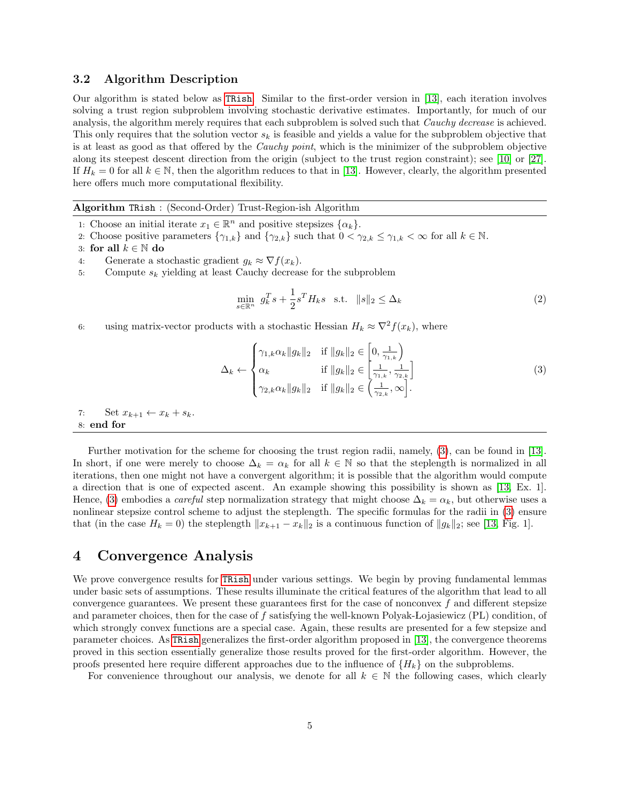#### 3.2 Algorithm Description

Our algorithm is stated below as [TRish](#page-4-0). Similar to the first-order version in [\[13\]](#page-25-0), each iteration involves solving a trust region subproblem involving stochastic derivative estimates. Importantly, for much of our analysis, the algorithm merely requires that each subproblem is solved such that *Cauchy decrease* is achieved. This only requires that the solution vector  $s_k$  is feasible and yields a value for the subproblem objective that is at least as good as that offered by the *Cauchy point*, which is the minimizer of the subproblem objective along its steepest descent direction from the origin (subject to the trust region constraint); see [\[10\]](#page-24-9) or [\[27\]](#page-25-15). If  $H_k = 0$  for all  $k \in \mathbb{N}$ , then the algorithm reduces to that in [\[13\]](#page-25-0). However, clearly, the algorithm presented here offers much more computational flexibility.

#### <span id="page-4-0"></span>Algorithm TRish : (Second-Order) Trust-Region-ish Algorithm

- 1: Choose an initial iterate  $x_1 \in \mathbb{R}^n$  and positive stepsizes  $\{\alpha_k\}.$
- 2: Choose positive parameters  $\{\gamma_{1,k}\}\$  and  $\{\gamma_{2,k}\}\$  such that  $0 < \gamma_{2,k} \leq \gamma_{1,k} < \infty$  for all  $k \in \mathbb{N}$ .

- 4: Generate a stochastic gradient  $g_k \approx \nabla f(x_k)$ .
- 5: Compute  $s_k$  yielding at least Cauchy decrease for the subproblem

<span id="page-4-2"></span>
$$
\min_{s \in \mathbb{R}^n} g_k^T s + \frac{1}{2} s^T H_k s \quad \text{s.t.} \quad \|s\|_2 \le \Delta_k \tag{2}
$$

6: using matrix-vector products with a stochastic Hessian  $H_k \approx \nabla^2 f(x_k)$ , where

<span id="page-4-1"></span>
$$
\Delta_k \leftarrow \begin{cases}\n\gamma_{1,k}\alpha_k \|g_k\|_2 & \text{if } \|g_k\|_2 \in \left[0, \frac{1}{\gamma_{1,k}}\right) \\
\alpha_k & \text{if } \|g_k\|_2 \in \left[\frac{1}{\gamma_{1,k}}, \frac{1}{\gamma_{2,k}}\right] \\
\gamma_{2,k}\alpha_k \|g_k\|_2 & \text{if } \|g_k\|_2 \in \left(\frac{1}{\gamma_{2,k}}, \infty\right].\n\end{cases}
$$
\n(3)

7: Set  $x_{k+1} \leftarrow x_k + s_k$ . 8: end for

Further motivation for the scheme for choosing the trust region radii, namely, [\(3\)](#page-4-1), can be found in [\[13\]](#page-25-0). In short, if one were merely to choose  $\Delta_k = \alpha_k$  for all  $k \in \mathbb{N}$  so that the steplength is normalized in all iterations, then one might not have a convergent algorithm; it is possible that the algorithm would compute a direction that is one of expected ascent. An example showing this possibility is shown as [\[13,](#page-25-0) Ex. 1]. Hence, [\(3\)](#page-4-1) embodies a *careful* step normalization strategy that might choose  $\Delta_k = \alpha_k$ , but otherwise uses a nonlinear stepsize control scheme to adjust the steplength. The specific formulas for the radii in [\(3\)](#page-4-1) ensure that (in the case  $H_k = 0$ ) the steplength  $||x_{k+1} - x_k||_2$  is a continuous function of  $||g_k||_2$ ; see [\[13,](#page-25-0) Fig. 1].

### 4 Convergence Analysis

We prove convergence results for [TRish](#page-4-0) under various settings. We begin by proving fundamental lemmas under basic sets of assumptions. These results illuminate the critical features of the algorithm that lead to all convergence guarantees. We present these guarantees first for the case of nonconvex  $f$  and different stepsize and parameter choices, then for the case of  $f$  satisfying the well-known Polyak-Lojasiewicz (PL) condition, of which strongly convex functions are a special case. Again, these results are presented for a few stepsize and parameter choices. As [TRish](#page-4-0) generalizes the first-order algorithm proposed in [\[13\]](#page-25-0), the convergence theorems proved in this section essentially generalize those results proved for the first-order algorithm. However, the proofs presented here require different approaches due to the influence of  $\{H_k\}$  on the subproblems.

For convenience throughout our analysis, we denote for all  $k \in \mathbb{N}$  the following cases, which clearly

<sup>3:</sup> for all  $k \in \mathbb{N}$  do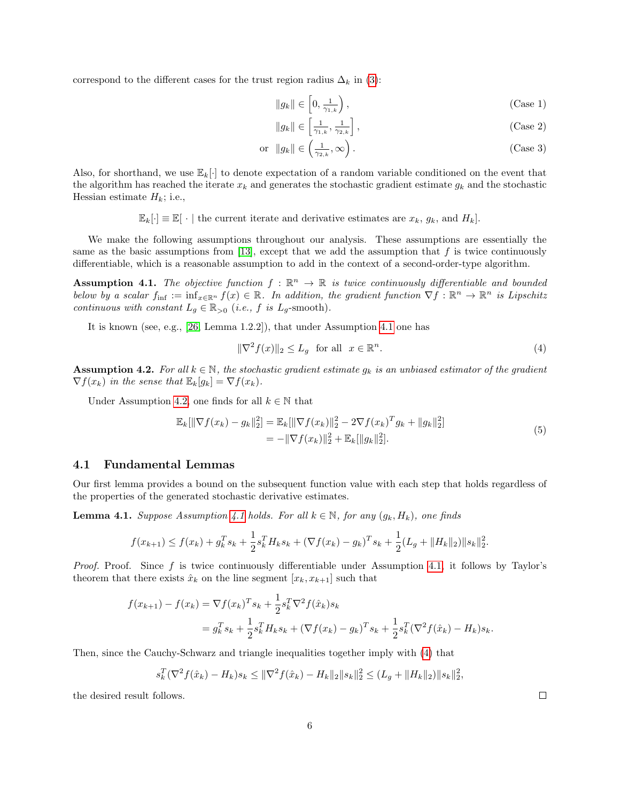correspond to the different cases for the trust region radius  $\Delta_k$  in [\(3\)](#page-4-1):

<span id="page-5-5"></span><span id="page-5-3"></span>
$$
||g_k|| \in \left[0, \frac{1}{\gamma_{1,k}}\right),\tag{Case 1}
$$

<span id="page-5-6"></span>
$$
||g_k|| \in \left[\frac{1}{\gamma_{1,k}}, \frac{1}{\gamma_{2,k}}\right],\tag{Case 2}
$$

$$
\text{or } \|g_k\| \in \left(\frac{1}{\gamma_{2,k}}, \infty\right). \tag{Case 3}
$$

Also, for shorthand, we use  $\mathbb{E}_k[\cdot]$  to denote expectation of a random variable conditioned on the event that the algorithm has reached the iterate  $x_k$  and generates the stochastic gradient estimate  $g_k$  and the stochastic Hessian estimate  $H_k$ ; i.e.,

 $\mathbb{E}_k[\cdot] \equiv \mathbb{E}[\cdot]$  the current iterate and derivative estimates are  $x_k$ ,  $g_k$ , and  $H_k$ .

We make the following assumptions throughout our analysis. These assumptions are essentially the same as the basic assumptions from [\[13\]](#page-25-0), except that we add the assumption that  $f$  is twice continuously differentiable, which is a reasonable assumption to add in the context of a second-order-type algorithm.

<span id="page-5-0"></span>**Assumption 4.1.** The objective function  $f : \mathbb{R}^n \to \mathbb{R}$  is twice continuously differentiable and bounded below by a scalar  $f_{\text{inf}} := \inf_{x \in \mathbb{R}^n} f(x) \in \mathbb{R}$ . In addition, the gradient function  $\nabla f : \mathbb{R}^n \to \mathbb{R}^n$  is Lipschitz continuous with constant  $L_g \in \mathbb{R}_{>0}$  (i.e., f is  $L_g$ -smooth).

It is known (see, e.g., [\[26,](#page-25-16) Lemma 1.2.2]), that under Assumption [4.1](#page-5-0) one has

<span id="page-5-2"></span>
$$
\|\nabla^2 f(x)\|_2 \le L_g \quad \text{for all} \quad x \in \mathbb{R}^n. \tag{4}
$$

<span id="page-5-1"></span>**Assumption 4.2.** For all  $k \in \mathbb{N}$ , the stochastic gradient estimate  $g_k$  is an unbiased estimator of the gradient  $\nabla f(x_k)$  in the sense that  $\mathbb{E}_k[g_k] = \nabla f(x_k)$ .

Under Assumption [4.2,](#page-5-1) one finds for all  $k \in \mathbb{N}$  that

<span id="page-5-7"></span>
$$
\mathbb{E}_{k}[\|\nabla f(x_{k}) - g_{k}\|_{2}^{2}] = \mathbb{E}_{k}[\|\nabla f(x_{k})\|_{2}^{2} - 2\nabla f(x_{k})^{T} g_{k} + \|g_{k}\|_{2}^{2}]
$$
\n
$$
= -\|\nabla f(x_{k})\|_{2}^{2} + \mathbb{E}_{k}[\|g_{k}\|_{2}^{2}].
$$
\n(5)

#### 4.1 Fundamental Lemmas

Our first lemma provides a bound on the subsequent function value with each step that holds regardless of the properties of the generated stochastic derivative estimates.

<span id="page-5-4"></span>**Lemma [4.1](#page-5-0).** Suppose Assumption 4.1 holds. For all  $k \in \mathbb{N}$ , for any  $(q_k, H_k)$ , one finds

$$
f(x_{k+1}) \le f(x_k) + g_k^T s_k + \frac{1}{2} s_k^T H_k s_k + (\nabla f(x_k) - g_k)^T s_k + \frac{1}{2} (L_g + ||H_k||_2) ||s_k||_2^2.
$$

*Proof.* Proof. Since f is twice continuously differentiable under Assumption [4.1,](#page-5-0) it follows by Taylor's theorem that there exists  $\hat{x}_k$  on the line segment  $[x_k, x_{k+1}]$  such that

$$
f(x_{k+1}) - f(x_k) = \nabla f(x_k)^T s_k + \frac{1}{2} s_k^T \nabla^2 f(\hat{x}_k) s_k
$$
  
=  $g_k^T s_k + \frac{1}{2} s_k^T H_k s_k + (\nabla f(x_k) - g_k)^T s_k + \frac{1}{2} s_k^T (\nabla^2 f(\hat{x}_k) - H_k) s_k.$ 

Then, since the Cauchy-Schwarz and triangle inequalities together imply with [\(4\)](#page-5-2) that

$$
s_k^T(\nabla^2 f(\hat{x}_k) - H_k)s_k \leq \|\nabla^2 f(\hat{x}_k) - H_k\|_2 \|s_k\|_2^2 \leq (L_g + \|H_k\|_2) \|s_k\|_2^2,
$$

the desired result follows.

 $\Box$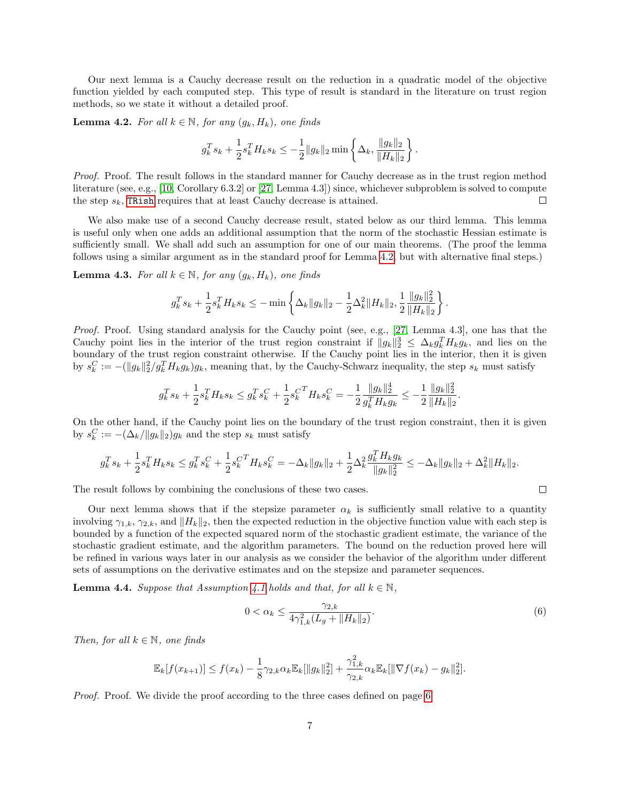Our next lemma is a Cauchy decrease result on the reduction in a quadratic model of the objective function yielded by each computed step. This type of result is standard in the literature on trust region methods, so we state it without a detailed proof.

<span id="page-6-0"></span>**Lemma 4.2.** For all  $k \in \mathbb{N}$ , for any  $(g_k, H_k)$ , one finds

$$
g_k^T s_k + \frac{1}{2} s_k^T H_k s_k \leq -\frac{1}{2} \|g_k\|_2 \min \left\{ \Delta_k, \frac{\|g_k\|_2}{\|H_k\|_2} \right\}.
$$

Proof. Proof. The result follows in the standard manner for Cauchy decrease as in the trust region method literature (see, e.g., [\[10,](#page-24-9) Corollary 6.3.2] or [\[27,](#page-25-15) Lemma 4.3]) since, whichever subproblem is solved to compute the step  $s_k$ , [TRish](#page-4-0) requires that at least Cauchy decrease is attained.  $\Box$ 

We also make use of a second Cauchy decrease result, stated below as our third lemma. This lemma is useful only when one adds an additional assumption that the norm of the stochastic Hessian estimate is sufficiently small. We shall add such an assumption for one of our main theorems. (The proof the lemma follows using a similar argument as in the standard proof for Lemma [4.2,](#page-6-0) but with alternative final steps.)

<span id="page-6-2"></span>**Lemma 4.3.** For all  $k \in \mathbb{N}$ , for any  $(q_k, H_k)$ , one finds

$$
g_k^T s_k + \frac{1}{2} s_k^T H_k s_k \leq - \min \left\{ \Delta_k \|g_k\|_2 - \frac{1}{2} \Delta_k^2 \|H_k\|_2, \frac{1}{2} \frac{\|g_k\|_2^2}{\|H_k\|_2} \right\}.
$$

Proof. Proof. Using standard analysis for the Cauchy point (see, e.g., [\[27,](#page-25-15) Lemma 4.3], one has that the Cauchy point lies in the interior of the trust region constraint if  $||g_k||_2^3 \leq \Delta_k g_k^T H_k g_k$ , and lies on the boundary of the trust region constraint otherwise. If the Cauchy point lies in the interior, then it is given by  $s_k^C := -(\|g_k\|_2^2/g_k^TH_kg_k)g_k$ , meaning that, by the Cauchy-Schwarz inequality, the step  $s_k$  must satisfy

$$
g_k^T s_k + \frac{1}{2} s_k^T H_k s_k \le g_k^T s_k^C + \frac{1}{2} s_k^{C^T} H_k s_k^C = -\frac{1}{2} \frac{\|g_k\|_2^4}{g_k^T H_k g_k} \le -\frac{1}{2} \frac{\|g_k\|_2^2}{\|H_k\|_2}.
$$

On the other hand, if the Cauchy point lies on the boundary of the trust region constraint, then it is given by  $s_k^C := -(\Delta_k / \|g_k\|_2)g_k$  and the step  $s_k$  must satisfy

$$
g_k^T s_k + \frac{1}{2} s_k^T H_k s_k \leq g_k^T s_k^C + \frac{1}{2} s_k^{C^T} H_k s_k^C = -\Delta_k \|g_k\|_2 + \frac{1}{2} \Delta_k^2 \frac{g_k^T H_k g_k}{\|g_k\|_2^2} \leq -\Delta_k \|g_k\|_2 + \Delta_k^2 \|H_k\|_2.
$$

The result follows by combining the conclusions of these two cases.

Our next lemma shows that if the stepsize parameter  $\alpha_k$  is sufficiently small relative to a quantity involving  $\gamma_{1,k}, \gamma_{2,k}$ , and  $||H_k||_2$ , then the expected reduction in the objective function value with each step is bounded by a function of the expected squared norm of the stochastic gradient estimate, the variance of the stochastic gradient estimate, and the algorithm parameters. The bound on the reduction proved here will be refined in various ways later in our analysis as we consider the behavior of the algorithm under different sets of assumptions on the derivative estimates and on the stepsize and parameter sequences.

<span id="page-6-3"></span>**Lemma 4.4.** Suppose that Assumption [4.1](#page-5-0) holds and that, for all  $k \in \mathbb{N}$ ,

<span id="page-6-1"></span>
$$
0 < \alpha_k \le \frac{\gamma_{2,k}}{4\gamma_{1,k}^2 (L_g + \|H_k\|_2)}.\tag{6}
$$

 $\Box$ 

Then, for all  $k \in \mathbb{N}$ , one finds

$$
\mathbb{E}_k[f(x_{k+1})] \le f(x_k) - \frac{1}{8}\gamma_{2,k}\alpha_k \mathbb{E}_k[\|g_k\|_2^2] + \frac{\gamma_{1,k}^2}{\gamma_{2,k}}\alpha_k \mathbb{E}_k[\|\nabla f(x_k) - g_k\|_2^2].
$$

Proof. Proof. We divide the proof according to the three cases defined on page [6.](#page-5-3)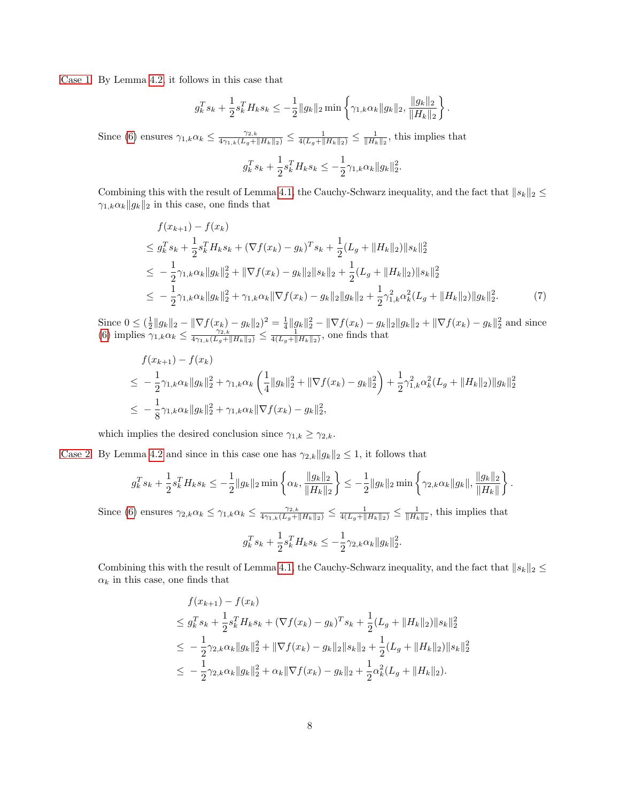[Case 1.](#page-5-3) By Lemma [4.2,](#page-6-0) it follows in this case that

$$
g_k^T s_k + \frac{1}{2} s_k^T H_k s_k \leq -\frac{1}{2} \|g_k\|_2 \min \left\{ \gamma_{1,k} \alpha_k \|g_k\|_2, \frac{\|g_k\|_2}{\|H_k\|_2} \right\}.
$$

Since [\(6\)](#page-6-1) ensures  $\gamma_{1,k}\alpha_k \leq \frac{\gamma_{2,k}}{4\gamma_{1,k}(L_g+\|H_k\|_2)} \leq \frac{1}{4(L_g+\|H_k\|_2)} \leq \frac{1}{\|H_k\|_2}$ , this implies that

$$
g_k^T s_k + \frac{1}{2} s_k^T H_k s_k \le -\frac{1}{2} \gamma_{1,k} \alpha_k \|g_k\|_2^2.
$$

Combining this with the result of Lemma [4.1,](#page-5-4) the Cauchy-Schwarz inequality, and the fact that  $||s_k||_2 \le$  $\gamma_{1,k} \alpha_k \|g_k\|_2$  in this case, one finds that

$$
f(x_{k+1}) - f(x_k)
$$
  
\n
$$
\leq g_k^T s_k + \frac{1}{2} s_k^T H_k s_k + (\nabla f(x_k) - g_k)^T s_k + \frac{1}{2} (L_g + ||H_k||_2) ||s_k||_2^2
$$
  
\n
$$
\leq -\frac{1}{2} \gamma_{1,k} \alpha_k ||g_k||_2^2 + ||\nabla f(x_k) - g_k||_2 ||s_k||_2 + \frac{1}{2} (L_g + ||H_k||_2) ||s_k||_2^2
$$
  
\n
$$
\leq -\frac{1}{2} \gamma_{1,k} \alpha_k ||g_k||_2^2 + \gamma_{1,k} \alpha_k ||\nabla f(x_k) - g_k||_2 ||g_k||_2 + \frac{1}{2} \gamma_{1,k}^2 \alpha_k^2 (L_g + ||H_k||_2) ||g_k||_2^2.
$$
 (7)

Since  $0 \leq (\frac{1}{2}||g_k||_2 - ||\nabla f(x_k) - g_k||_2)^2 = \frac{1}{4}||g_k||_2^2 - ||\nabla f(x_k) - g_k||_2||g_k||_2 + ||\nabla f(x_k) - g_k||_2^2$  and since [\(6\)](#page-6-1) implies  $\gamma_{1,k}\alpha_k \leq \frac{\gamma_{2,k}}{4\gamma_{1,k}(L_g+\|H_k\|_2)} \leq \frac{4}{4(L_g+\|H_k\|_2)}$ , one finds that

$$
f(x_{k+1}) - f(x_k)
$$
  
\n
$$
\leq -\frac{1}{2}\gamma_{1,k}\alpha_k \|g_k\|_2^2 + \gamma_{1,k}\alpha_k \left(\frac{1}{4}\|g_k\|_2^2 + \|\nabla f(x_k) - g_k\|_2^2\right) + \frac{1}{2}\gamma_{1,k}^2 \alpha_k^2 (L_g + \|H_k\|_2) \|g_k\|_2^2
$$
  
\n
$$
\leq -\frac{1}{8}\gamma_{1,k}\alpha_k \|g_k\|_2^2 + \gamma_{1,k}\alpha_k \|\nabla f(x_k) - g_k\|_2^2,
$$

which implies the desired conclusion since  $\gamma_{1,k} \geq \gamma_{2,k}$ .

[Case 2.](#page-5-5) By Lemma [4.2](#page-6-0) and since in this case one has  $\gamma_{2,k}||g_k||_2 \leq 1$ , it follows that

$$
g_k^T s_k + \frac{1}{2} s_k^T H_k s_k \leq -\frac{1}{2} \|g_k\|_2 \min \left\{ \alpha_k, \frac{\|g_k\|_2}{\|H_k\|_2} \right\} \leq -\frac{1}{2} \|g_k\|_2 \min \left\{ \gamma_{2,k} \alpha_k \|g_k\|, \frac{\|g_k\|_2}{\|H_k\|} \right\}.
$$

Since [\(6\)](#page-6-1) ensures  $\gamma_{2,k}\alpha_k \leq \gamma_{1,k}\alpha_k \leq \frac{\gamma_{2,k}}{4\gamma_{1,k}(L_g+\|H_k\|_2)} \leq \frac{1}{4(L_g+\|H_k\|_2)} \leq \frac{1}{\|H_k\|_2}$ , this implies that

$$
g_k^T s_k + \frac{1}{2} s_k^T H_k s_k \le -\frac{1}{2} \gamma_{2,k} \alpha_k \|g_k\|_2^2.
$$

Combining this with the result of Lemma [4.1,](#page-5-4) the Cauchy-Schwarz inequality, and the fact that  $||s_k||_2 \le$  $\alpha_k$  in this case, one finds that

$$
f(x_{k+1}) - f(x_k)
$$
  
\n
$$
\leq g_k^T s_k + \frac{1}{2} s_k^T H_k s_k + (\nabla f(x_k) - g_k)^T s_k + \frac{1}{2} (L_g + ||H_k||_2) ||s_k||_2^2
$$
  
\n
$$
\leq -\frac{1}{2} \gamma_{2,k} \alpha_k ||g_k||_2^2 + ||\nabla f(x_k) - g_k||_2 ||s_k||_2 + \frac{1}{2} (L_g + ||H_k||_2) ||s_k||_2^2
$$
  
\n
$$
\leq -\frac{1}{2} \gamma_{2,k} \alpha_k ||g_k||_2^2 + \alpha_k ||\nabla f(x_k) - g_k||_2 + \frac{1}{2} \alpha_k^2 (L_g + ||H_k||_2).
$$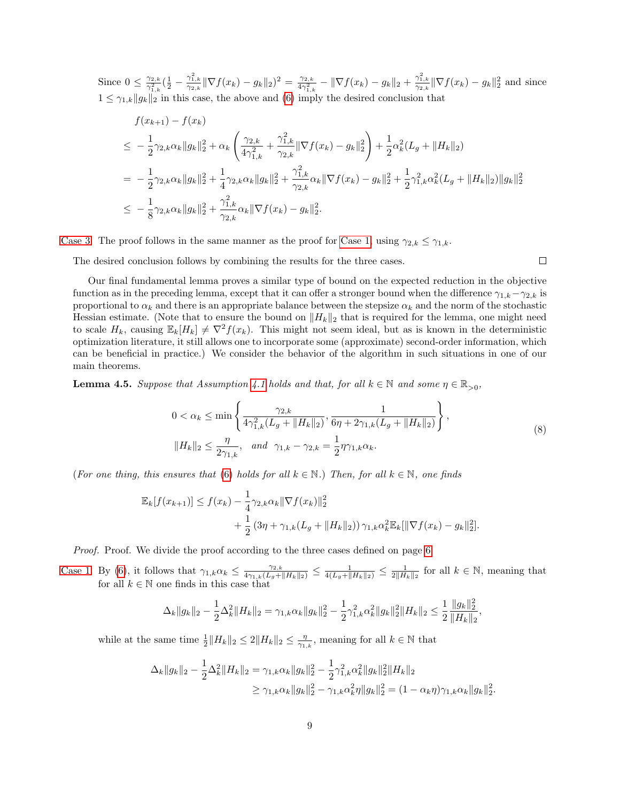Since  $0 \leq \frac{\gamma_{2,k}}{2}$  $\frac{\gamma_{2,k}^2}{\gamma_{1,k}^2}(\frac{1}{2}-\frac{\gamma_{1,k}^2}{\gamma_{2,k}}\|\nabla f(x_k)-g_k\|_2)^2=\frac{\gamma_{2,k}}{4\gamma_{1,k}^2}$  $\frac{\gamma_{2,k}}{4\gamma_{1,k}^2} - \|\nabla f(x_k) - g_k\|_2 + \frac{\gamma_{1,k}^2}{\gamma_{2,k}} \|\nabla f(x_k) - g_k\|_2^2$  and since  $1 \leq \gamma_{1,k} \|g_k\|_2$  in this case, the above and [\(6\)](#page-6-1) imply the desired conclusion that

$$
f(x_{k+1}) - f(x_k)
$$
  
\n
$$
\leq -\frac{1}{2}\gamma_{2,k}\alpha_k \|g_k\|_2^2 + \alpha_k \left(\frac{\gamma_{2,k}}{4\gamma_{1,k}^2} + \frac{\gamma_{1,k}^2}{\gamma_{2,k}} \|\nabla f(x_k) - g_k\|_2^2\right) + \frac{1}{2}\alpha_k^2 (L_g + \|H_k\|_2)
$$
  
\n
$$
= -\frac{1}{2}\gamma_{2,k}\alpha_k \|g_k\|_2^2 + \frac{1}{4}\gamma_{2,k}\alpha_k \|g_k\|_2^2 + \frac{\gamma_{1,k}^2}{\gamma_{2,k}}\alpha_k \|\nabla f(x_k) - g_k\|_2^2 + \frac{1}{2}\gamma_{1,k}^2\alpha_k^2 (L_g + \|H_k\|_2) \|g_k\|_2^2
$$
  
\n
$$
\leq -\frac{1}{8}\gamma_{2,k}\alpha_k \|g_k\|_2^2 + \frac{\gamma_{1,k}^2}{\gamma_{2,k}}\alpha_k \|\nabla f(x_k) - g_k\|_2^2.
$$

[Case 3.](#page-5-6) The proof follows in the same manner as the proof for [Case 1,](#page-5-3) using  $\gamma_{2,k} \leq \gamma_{1,k}$ .

The desired conclusion follows by combining the results for the three cases.

 $\Box$ 

Our final fundamental lemma proves a similar type of bound on the expected reduction in the objective function as in the preceding lemma, except that it can offer a stronger bound when the difference  $\gamma_{1,k}-\gamma_{2,k}$  is proportional to  $\alpha_k$  and there is an appropriate balance between the stepsize  $\alpha_k$  and the norm of the stochastic Hessian estimate. (Note that to ensure the bound on  $||H_k||_2$  that is required for the lemma, one might need to scale  $H_k$ , causing  $\mathbb{E}_k[H_k] \neq \nabla^2 f(x_k)$ . This might not seem ideal, but as is known in the deterministic optimization literature, it still allows one to incorporate some (approximate) second-order information, which can be beneficial in practice.) We consider the behavior of the algorithm in such situations in one of our main theorems.

<span id="page-8-1"></span>**Lemma 4.5.** Suppose that Assumption [4.1](#page-5-0) holds and that, for all  $k \in \mathbb{N}$  and some  $\eta \in \mathbb{R}_{>0}$ ,

<span id="page-8-0"></span>
$$
0 < \alpha_k \le \min\left\{\frac{\gamma_{2,k}}{4\gamma_{1,k}^2(L_g + \|H_k\|_2)}, \frac{1}{6\eta + 2\gamma_{1,k}(L_g + \|H_k\|_2)}\right\},\
$$
\n
$$
\|H_k\|_2 \le \frac{\eta}{2\gamma_{1,k}}, \quad \text{and} \quad \gamma_{1,k} - \gamma_{2,k} = \frac{1}{2}\eta\gamma_{1,k}\alpha_k. \tag{8}
$$

(For one thing, this ensures that [\(6\)](#page-6-1) holds for all  $k \in \mathbb{N}$ .) Then, for all  $k \in \mathbb{N}$ , one finds

$$
\mathbb{E}_k[f(x_{k+1})] \le f(x_k) - \frac{1}{4} \gamma_{2,k} \alpha_k \|\nabla f(x_k)\|_2^2
$$
  
+ 
$$
\frac{1}{2} (3\eta + \gamma_{1,k}(L_g + \|H_k\|_2)) \gamma_{1,k} \alpha_k^2 \mathbb{E}_k[\|\nabla f(x_k) - g_k\|_2^2].
$$

Proof. Proof. We divide the proof according to the three cases defined on page [6.](#page-5-3)

[Case 1.](#page-5-3) By [\(6\)](#page-6-1), it follows that  $\gamma_{1,k}\alpha_k \leq \frac{\gamma_{2,k}}{4\gamma_{1,k}(L_g+\|H_k\|_2)} \leq \frac{1}{4(L_g+\|H_k\|_2)} \leq \frac{1}{2\|H_k\|_2}$  for all  $k \in \mathbb{N}$ , meaning that for all  $k \in \mathbb{N}$  one finds in this case that

$$
\Delta_k \|g_k\|_2 - \frac{1}{2} \Delta_k^2 \|H_k\|_2 = \gamma_{1,k} \alpha_k \|g_k\|_2^2 - \frac{1}{2} \gamma_{1,k}^2 \alpha_k^2 \|g_k\|_2^2 \|H_k\|_2 \le \frac{1}{2} \frac{\|g_k\|_2^2}{\|H_k\|_2},
$$

while at the same time  $\frac{1}{2}||H_k||_2 \leq 2||H_k||_2 \leq \frac{\eta}{\gamma_{1,k}}$ , meaning for all  $k \in \mathbb{N}$  that

$$
\Delta_k \|g_k\|_2 - \frac{1}{2} \Delta_k^2 \|H_k\|_2 = \gamma_{1,k} \alpha_k \|g_k\|_2^2 - \frac{1}{2} \gamma_{1,k}^2 \alpha_k^2 \|g_k\|_2^2 \|H_k\|_2
$$
  

$$
\geq \gamma_{1,k} \alpha_k \|g_k\|_2^2 - \gamma_{1,k} \alpha_k^2 \eta \|g_k\|_2^2 = (1 - \alpha_k \eta) \gamma_{1,k} \alpha_k \|g_k\|_2^2.
$$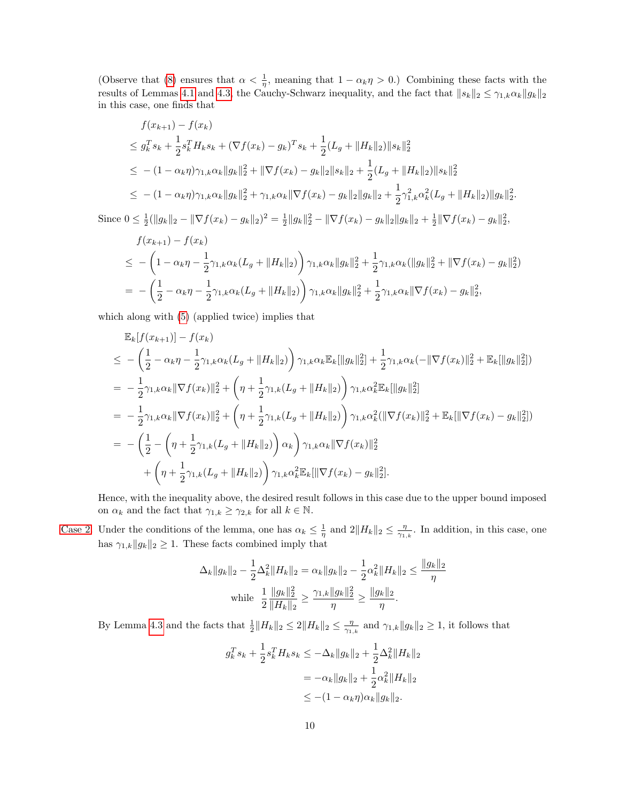(Observe that [\(8\)](#page-8-0) ensures that  $\alpha < \frac{1}{\eta}$ , meaning that  $1 - \alpha_k \eta > 0$ .) Combining these facts with the results of Lemmas [4.1](#page-5-4) and [4.3,](#page-6-2) the Cauchy-Schwarz inequality, and the fact that  $||s_k||_2 \leq \gamma_{1,k} \alpha_k ||g_k||_2$ in this case, one finds that

$$
f(x_{k+1}) - f(x_k)
$$
  
\n
$$
\leq g_k^T s_k + \frac{1}{2} s_k^T H_k s_k + (\nabla f(x_k) - g_k)^T s_k + \frac{1}{2} (L_g + ||H_k||_2) ||s_k||_2^2
$$
  
\n
$$
\leq -(1 - \alpha_k \eta) \gamma_{1,k} \alpha_k ||g_k||_2^2 + ||\nabla f(x_k) - g_k||_2 ||s_k||_2 + \frac{1}{2} (L_g + ||H_k||_2) ||s_k||_2^2
$$
  
\n
$$
\leq -(1 - \alpha_k \eta) \gamma_{1,k} \alpha_k ||g_k||_2^2 + \gamma_{1,k} \alpha_k ||\nabla f(x_k) - g_k||_2 ||g_k||_2 + \frac{1}{2} \gamma_{1,k}^2 \alpha_k^2 (L_g + ||H_k||_2) ||g_k||_2^2.
$$

Since  $0 \le \frac{1}{2} (\|g_k\|_2 - \|\nabla f(x_k) - g_k\|_2)^2 = \frac{1}{2} \|g_k\|_2^2 - \|\nabla f(x_k) - g_k\|_2 \|g_k\|_2 + \frac{1}{2} \|\nabla f(x_k) - g_k\|_2^2$  $f(x) = 1$ 

$$
f(x_{k+1}) - f(x_k)
$$
  
\n
$$
\leq -\left(1 - \alpha_k \eta - \frac{1}{2} \gamma_{1,k} \alpha_k (L_g + ||H_k||_2)\right) \gamma_{1,k} \alpha_k ||g_k||_2^2 + \frac{1}{2} \gamma_{1,k} \alpha_k (||g_k||_2^2 + ||\nabla f(x_k) - g_k||_2^2)
$$
  
\n
$$
= -\left(\frac{1}{2} - \alpha_k \eta - \frac{1}{2} \gamma_{1,k} \alpha_k (L_g + ||H_k||_2)\right) \gamma_{1,k} \alpha_k ||g_k||_2^2 + \frac{1}{2} \gamma_{1,k} \alpha_k ||\nabla f(x_k) - g_k||_2^2,
$$

which along with [\(5\)](#page-5-7) (applied twice) implies that

$$
\mathbb{E}_{k}[f(x_{k+1})] - f(x_{k})
$$
\n
$$
\leq -\left(\frac{1}{2} - \alpha_{k}\eta - \frac{1}{2}\gamma_{1,k}\alpha_{k}(L_{g} + ||H_{k}||_{2})\right)\gamma_{1,k}\alpha_{k}\mathbb{E}_{k}[||g_{k}||_{2}^{2}] + \frac{1}{2}\gamma_{1,k}\alpha_{k}(-||\nabla f(x_{k})||_{2}^{2} + \mathbb{E}_{k}[||g_{k}||_{2}^{2}])
$$
\n
$$
= -\frac{1}{2}\gamma_{1,k}\alpha_{k}||\nabla f(x_{k})||_{2}^{2} + \left(\eta + \frac{1}{2}\gamma_{1,k}(L_{g} + ||H_{k}||_{2})\right)\gamma_{1,k}\alpha_{k}^{2}\mathbb{E}_{k}[||g_{k}||_{2}^{2}]
$$
\n
$$
= -\frac{1}{2}\gamma_{1,k}\alpha_{k}||\nabla f(x_{k})||_{2}^{2} + \left(\eta + \frac{1}{2}\gamma_{1,k}(L_{g} + ||H_{k}||_{2})\right)\gamma_{1,k}\alpha_{k}^{2}(||\nabla f(x_{k})||_{2}^{2} + \mathbb{E}_{k}[||\nabla f(x_{k}) - g_{k}||_{2}^{2}])
$$
\n
$$
= -\left(\frac{1}{2} - \left(\eta + \frac{1}{2}\gamma_{1,k}(L_{g} + ||H_{k}||_{2})\right)\alpha_{k}\right)\gamma_{1,k}\alpha_{k}||\nabla f(x_{k})||_{2}^{2}
$$
\n
$$
+ \left(\eta + \frac{1}{2}\gamma_{1,k}(L_{g} + ||H_{k}||_{2})\right)\gamma_{1,k}\alpha_{k}^{2}\mathbb{E}_{k}[||\nabla f(x_{k}) - g_{k}||_{2}^{2}].
$$

Hence, with the inequality above, the desired result follows in this case due to the upper bound imposed on  $\alpha_k$  and the fact that  $\gamma_{1,k} \geq \gamma_{2,k}$  for all  $k \in \mathbb{N}$ .

[Case 2.](#page-5-5) Under the conditions of the lemma, one has  $\alpha_k \leq \frac{1}{\eta}$  and  $2||H_k||_2 \leq \frac{\eta}{\gamma_{1,k}}$ . In addition, in this case, one has  $\gamma_{1,k}||g_k||_2 \geq 1$ . These facts combined imply that

$$
\Delta_k \|g_k\|_2 - \frac{1}{2} \Delta_k^2 \|H_k\|_2 = \alpha_k \|g_k\|_2 - \frac{1}{2} \alpha_k^2 \|H_k\|_2 \le \frac{\|g_k\|_2}{\eta}
$$
  
while 
$$
\frac{1}{2} \frac{\|g_k\|_2^2}{\|H_k\|_2} \ge \frac{\gamma_{1,k} \|g_k\|_2^2}{\eta} \ge \frac{\|g_k\|_2}{\eta}.
$$

By Lemma [4.3](#page-6-2) and the facts that  $\frac{1}{2}||H_k||_2 \le 2||H_k||_2 \le \frac{\eta}{\gamma_{1,k}}$  and  $\gamma_{1,k}||g_k||_2 \ge 1$ , it follows that

$$
g_k^T s_k + \frac{1}{2} s_k^T H_k s_k \le -\Delta_k \|g_k\|_2 + \frac{1}{2} \Delta_k^2 \|H_k\|_2
$$
  
=  $-\alpha_k \|g_k\|_2 + \frac{1}{2} \alpha_k^2 \|H_k\|_2$   
 $\le -(1 - \alpha_k \eta) \alpha_k \|g_k\|_2.$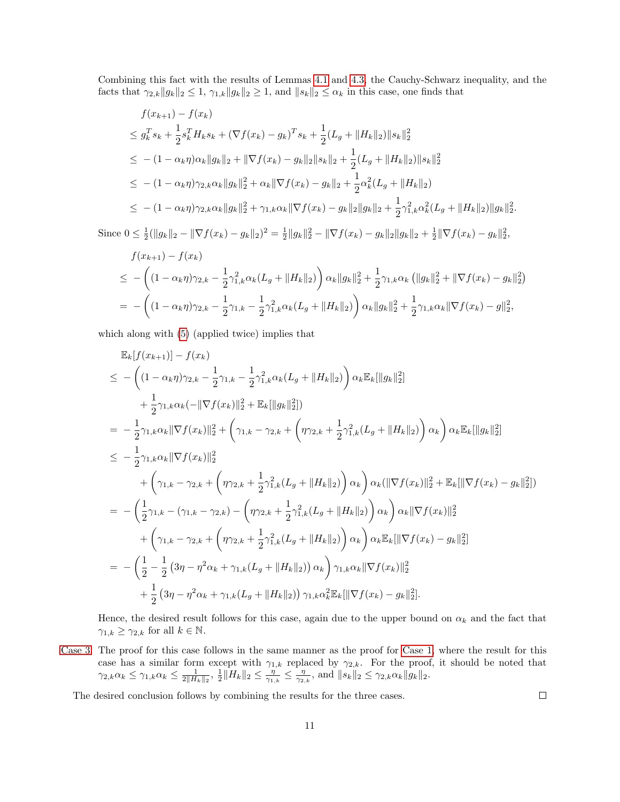Combining this fact with the results of Lemmas [4.1](#page-5-4) and [4.3,](#page-6-2) the Cauchy-Schwarz inequality, and the facts that  $\gamma_{2,k}||g_k||_2 \leq 1$ ,  $\gamma_{1,k}||g_k||_2 \geq 1$ , and  $||s_k||_2 \leq \alpha_k$  in this case, one finds that

$$
f(x_{k+1}) - f(x_k)
$$
  
\n
$$
\leq g_k^T s_k + \frac{1}{2} s_k^T H_k s_k + (\nabla f(x_k) - g_k)^T s_k + \frac{1}{2} (L_g + ||H_k||_2) ||s_k||_2^2
$$
  
\n
$$
\leq -(1 - \alpha_k \eta) \alpha_k ||g_k||_2 + ||\nabla f(x_k) - g_k||_2 ||s_k||_2 + \frac{1}{2} (L_g + ||H_k||_2) ||s_k||_2^2
$$
  
\n
$$
\leq -(1 - \alpha_k \eta) \gamma_{2,k} \alpha_k ||g_k||_2^2 + \alpha_k ||\nabla f(x_k) - g_k||_2 + \frac{1}{2} \alpha_k^2 (L_g + ||H_k||_2)
$$
  
\n
$$
\leq -(1 - \alpha_k \eta) \gamma_{2,k} \alpha_k ||g_k||_2^2 + \gamma_{1,k} \alpha_k ||\nabla f(x_k) - g_k||_2 ||g_k||_2 + \frac{1}{2} \gamma_{1,k}^2 \alpha_k^2 (L_g + ||H_k||_2) ||g_k||_2^2.
$$

Since  $0 \leq \frac{1}{2} (\|g_k\|_2 - \|\nabla f(x_k) - g_k\|_2)^2 = \frac{1}{2} \|g_k\|_2^2 - \|\nabla f(x_k) - g_k\|_2 \|g_k\|_2 + \frac{1}{2} \|\nabla f(x_k) - g_k\|_2^2$ 

$$
f(x_{k+1}) - f(x_k)
$$
  
\n
$$
\leq -\left( (1 - \alpha_k \eta)\gamma_{2,k} - \frac{1}{2}\gamma_{1,k}^2 \alpha_k (L_g + ||H_k||_2) \right) \alpha_k ||g_k||_2^2 + \frac{1}{2}\gamma_{1,k} \alpha_k (||g_k||_2^2 + ||\nabla f(x_k) - g_k||_2^2)
$$
  
\n
$$
= -\left( (1 - \alpha_k \eta)\gamma_{2,k} - \frac{1}{2}\gamma_{1,k} - \frac{1}{2}\gamma_{1,k}^2 \alpha_k (L_g + ||H_k||_2) \right) \alpha_k ||g_k||_2^2 + \frac{1}{2}\gamma_{1,k} \alpha_k ||\nabla f(x_k) - g||_2^2,
$$

which along with [\(5\)](#page-5-7) (applied twice) implies that

$$
\mathbb{E}_{k}[f(x_{k+1})] - f(x_{k})
$$
\n
$$
\leq -\left((1 - \alpha_{k}\eta)\gamma_{2,k} - \frac{1}{2}\gamma_{1,k} - \frac{1}{2}\gamma_{1,k}^{2}\alpha_{k}(L_{g} + ||H_{k}||_{2})\right)\alpha_{k}\mathbb{E}_{k}[||g_{k}||_{2}^{2}]
$$
\n
$$
+ \frac{1}{2}\gamma_{1,k}\alpha_{k}(-||\nabla f(x_{k})||_{2}^{2} + \mathbb{E}_{k}[||g_{k}||_{2}^{2}])
$$
\n
$$
= -\frac{1}{2}\gamma_{1,k}\alpha_{k}||\nabla f(x_{k})||_{2}^{2} + \left(\gamma_{1,k} - \gamma_{2,k} + \left(\eta\gamma_{2,k} + \frac{1}{2}\gamma_{1,k}^{2}(L_{g} + ||H_{k}||_{2})\right)\alpha_{k}\right)\alpha_{k}\mathbb{E}_{k}[||g_{k}||_{2}^{2}]
$$
\n
$$
\leq -\frac{1}{2}\gamma_{1,k}\alpha_{k}||\nabla f(x_{k})||_{2}^{2}
$$
\n
$$
+ \left(\gamma_{1,k} - \gamma_{2,k} + \left(\eta\gamma_{2,k} + \frac{1}{2}\gamma_{1,k}^{2}(L_{g} + ||H_{k}||_{2})\right)\alpha_{k}\right)\alpha_{k}(\|\nabla f(x_{k})||_{2}^{2} + \mathbb{E}_{k}[\|\nabla f(x_{k}) - g_{k}||_{2}^{2}])
$$
\n
$$
= -\left(\frac{1}{2}\gamma_{1,k} - (\gamma_{1,k} - \gamma_{2,k}) - \left(\eta\gamma_{2,k} + \frac{1}{2}\gamma_{1,k}^{2}(L_{g} + ||H_{k}||_{2})\right)\alpha_{k}\right)\alpha_{k}\|\nabla f(x_{k})\|_{2}^{2}
$$
\n
$$
+ \left(\gamma_{1,k} - \gamma_{2,k} + \left(\eta\gamma_{2,k} + \frac{1}{2}\gamma_{1,k}^{2}(L_{g} + ||H_{k}||_{2})\right)\alpha_{k}\right)\alpha_{k}\mathbb{E}_{k}[\|\nabla f(x_{k}) - g_{k}||_{2}^{2}]
$$
\n
$$
= -\left(\frac{1}{2} - \frac{1}{2}\left(3\eta - \eta^{2}\alpha
$$

Hence, the desired result follows for this case, again due to the upper bound on  $\alpha_k$  and the fact that  $\gamma_{1,k} \geq \gamma_{2,k}$  for all  $k \in \mathbb{N}$ .

[Case 3.](#page-5-6) The proof for this case follows in the same manner as the proof for [Case 1,](#page-5-3) where the result for this case has a similar form except with  $\gamma_{1,k}$  replaced by  $\gamma_{2,k}$ . For the proof, it should be noted that  $\gamma_{2,k}\alpha_k \leq \gamma_{1,k}\alpha_k \leq \frac{1}{2\|H_k\|_2}, \ \frac{1}{2}\|H_k\|_2 \leq \frac{\eta'}{\gamma_{1,k}} \leq \frac{\eta}{\gamma_{2,k}}, \text{ and } \|s_k\|_2 \leq \gamma_{2,k}\alpha_k\|g_k\|_2.$ 

The desired conclusion follows by combining the results for the three cases.

 $\Box$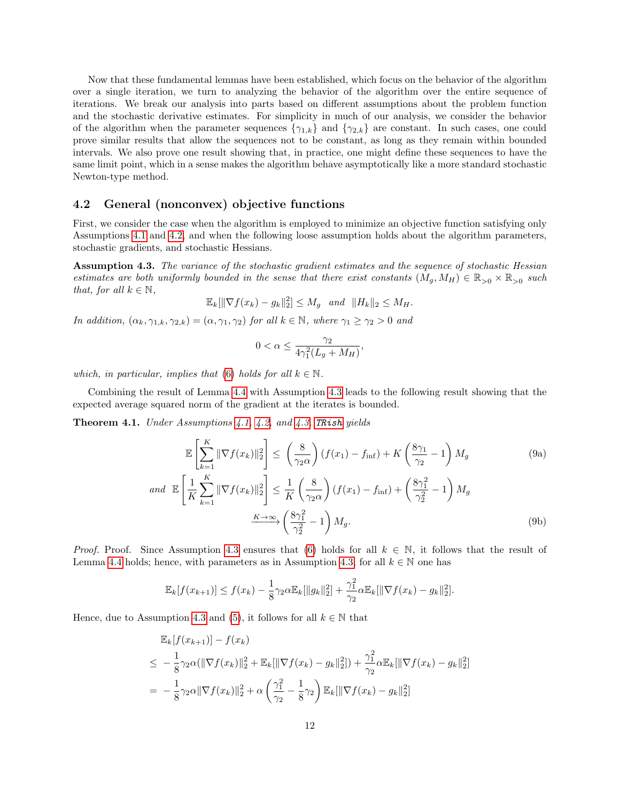Now that these fundamental lemmas have been established, which focus on the behavior of the algorithm over a single iteration, we turn to analyzing the behavior of the algorithm over the entire sequence of iterations. We break our analysis into parts based on different assumptions about the problem function and the stochastic derivative estimates. For simplicity in much of our analysis, we consider the behavior of the algorithm when the parameter sequences  $\{\gamma_{1,k}\}$  and  $\{\gamma_{2,k}\}$  are constant. In such cases, one could prove similar results that allow the sequences not to be constant, as long as they remain within bounded intervals. We also prove one result showing that, in practice, one might define these sequences to have the same limit point, which in a sense makes the algorithm behave asymptotically like a more standard stochastic Newton-type method.

#### <span id="page-11-4"></span>4.2 General (nonconvex) objective functions

First, we consider the case when the algorithm is employed to minimize an objective function satisfying only Assumptions [4.1](#page-5-0) and [4.2,](#page-5-1) and when the following loose assumption holds about the algorithm parameters, stochastic gradients, and stochastic Hessians.

<span id="page-11-0"></span>Assumption 4.3. The variance of the stochastic gradient estimates and the sequence of stochastic Hessian estimates are both uniformly bounded in the sense that there exist constants  $(M_g, M_H) \in \mathbb{R}_{>0} \times \mathbb{R}_{>0}$  such that, for all  $k \in \mathbb{N}$ ,

$$
\mathbb{E}_k[\|\nabla f(x_k) - g_k\|_2^2] \le M_g \text{ and } \|H_k\|_2 \le M_H.
$$

In addition,  $(\alpha_k, \gamma_{1,k}, \gamma_{2,k}) = (\alpha, \gamma_1, \gamma_2)$  for all  $k \in \mathbb{N}$ , where  $\gamma_1 \geq \gamma_2 > 0$  and

<span id="page-11-2"></span><span id="page-11-1"></span>
$$
0 < \alpha \le \frac{\gamma_2}{4\gamma_1^2(L_g + M_H)},
$$

which, in particular, implies that [\(6\)](#page-6-1) holds for all  $k \in \mathbb{N}$ .

Combining the result of Lemma [4.4](#page-6-3) with Assumption [4.3](#page-11-0) leads to the following result showing that the expected average squared norm of the gradient at the iterates is bounded.

<span id="page-11-3"></span>Theorem 4.1. Under Assumptions [4.1,](#page-5-0) [4.2,](#page-5-1) and [4.3,](#page-11-0) [TRish](#page-4-0) yields

$$
\mathbb{E}\left[\sum_{k=1}^{K} \|\nabla f(x_k)\|_2^2\right] \leq \left(\frac{8}{\gamma_2 \alpha}\right) (f(x_1) - f_{\text{inf}}) + K\left(\frac{8\gamma_1}{\gamma_2} - 1\right) M_g \tag{9a}
$$
\n
$$
and \quad \mathbb{E}\left[\frac{1}{K} \sum_{k=1}^{K} \|\nabla f(x_k)\|_2^2\right] \leq \frac{1}{K} \left(\frac{8}{\gamma_2 \alpha}\right) (f(x_1) - f_{\text{inf}}) + \left(\frac{8\gamma_1^2}{\gamma_2^2} - 1\right) M_g
$$
\n
$$
\xrightarrow{K \to \infty} \left(\frac{8\gamma_1^2}{\gamma_2^2} - 1\right) M_g. \tag{9b}
$$

*Proof.* Proof. Since Assumption [4.3](#page-11-0) ensures that [\(6\)](#page-6-1) holds for all  $k \in \mathbb{N}$ , it follows that the result of Lemma [4.4](#page-6-3) holds; hence, with parameters as in Assumption [4.3,](#page-11-0) for all  $k \in \mathbb{N}$  one has

$$
\mathbb{E}_k[f(x_{k+1})] \le f(x_k) - \frac{1}{8}\gamma_2 \alpha \mathbb{E}_k[\|g_k\|_2^2] + \frac{\gamma_1^2}{\gamma_2} \alpha \mathbb{E}_k[\|\nabla f(x_k) - g_k\|_2^2].
$$

Hence, due to Assumption [4.3](#page-11-0) and [\(5\)](#page-5-7), it follows for all  $k \in \mathbb{N}$  that

$$
\mathbb{E}_{k}[f(x_{k+1})] - f(x_{k})
$$
\n
$$
\leq -\frac{1}{8}\gamma_{2}\alpha(\|\nabla f(x_{k})\|_{2}^{2} + \mathbb{E}_{k}[\|\nabla f(x_{k}) - g_{k}\|_{2}^{2}]) + \frac{\gamma_{1}^{2}}{\gamma_{2}}\alpha \mathbb{E}_{k}[\|\nabla f(x_{k}) - g_{k}\|_{2}^{2}]
$$
\n
$$
= -\frac{1}{8}\gamma_{2}\alpha\|\nabla f(x_{k})\|_{2}^{2} + \alpha\left(\frac{\gamma_{1}^{2}}{\gamma_{2}} - \frac{1}{8}\gamma_{2}\right)\mathbb{E}_{k}[\|\nabla f(x_{k}) - g_{k}\|_{2}^{2}]
$$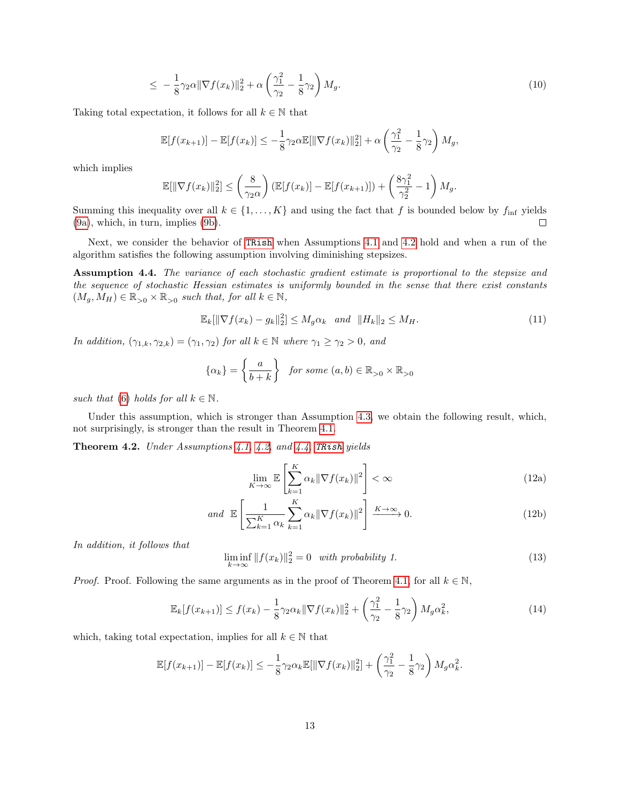$$
\leq -\frac{1}{8}\gamma_2\alpha \|\nabla f(x_k)\|_2^2 + \alpha \left(\frac{\gamma_1^2}{\gamma_2} - \frac{1}{8}\gamma_2\right)M_g. \tag{10}
$$

Taking total expectation, it follows for all  $k \in \mathbb{N}$  that

<span id="page-12-6"></span>
$$
\mathbb{E}[f(x_{k+1})] - \mathbb{E}[f(x_k)] \le -\frac{1}{8}\gamma_2 \alpha \mathbb{E}[\|\nabla f(x_k)\|_2^2] + \alpha \left(\frac{\gamma_1^2}{\gamma_2} - \frac{1}{8}\gamma_2\right)M_g,
$$

which implies

$$
\mathbb{E}[\|\nabla f(x_k)\|_2^2] \le \left(\frac{8}{\gamma_2 \alpha}\right) \left(\mathbb{E}[f(x_k)] - \mathbb{E}[f(x_{k+1})]\right) + \left(\frac{8\gamma_1^2}{\gamma_2^2} - 1\right) M_g.
$$

Summing this inequality over all  $k \in \{1, ..., K\}$  and using the fact that f is bounded below by  $f_{\text{inf}}$  yields [\(9a\)](#page-11-1), which, in turn, implies [\(9b\)](#page-11-2).  $\Box$ 

Next, we consider the behavior of [TRish](#page-4-0) when Assumptions [4.1](#page-5-0) and [4.2](#page-5-1) hold and when a run of the algorithm satisfies the following assumption involving diminishing stepsizes.

<span id="page-12-0"></span>Assumption 4.4. The variance of each stochastic gradient estimate is proportional to the stepsize and the sequence of stochastic Hessian estimates is uniformly bounded in the sense that there exist constants  $(M_g, M_H) \in \mathbb{R}_{>0} \times \mathbb{R}_{>0}$  such that, for all  $k \in \mathbb{N}$ ,

<span id="page-12-7"></span>
$$
\mathbb{E}_{k}[\|\nabla f(x_{k}) - g_{k}\|_{2}^{2}] \le M_{g}\alpha_{k} \quad and \quad \|H_{k}\|_{2} \le M_{H}.
$$
\n(11)

In addition,  $(\gamma_{1,k}, \gamma_{2,k}) = (\gamma_1, \gamma_2)$  for all  $k \in \mathbb{N}$  where  $\gamma_1 \geq \gamma_2 > 0$ , and

$$
\{\alpha_k\} = \left\{\frac{a}{b+k}\right\} \text{ for some } (a,b) \in \mathbb{R}_{>0} \times \mathbb{R}_{>0}
$$

such that [\(6\)](#page-6-1) holds for all  $k \in \mathbb{N}$ .

Under this assumption, which is stronger than Assumption [4.3,](#page-11-0) we obtain the following result, which, not surprisingly, is stronger than the result in Theorem [4.1.](#page-11-3)

<span id="page-12-5"></span>Theorem 4.2. Under Assumptions [4.1,](#page-5-0) [4.2,](#page-5-1) and [4.4,](#page-12-0) [TRish](#page-4-0) yields

<span id="page-12-2"></span><span id="page-12-1"></span>
$$
\lim_{K \to \infty} \mathbb{E} \left[ \sum_{k=1}^{K} \alpha_k \|\nabla f(x_k)\|^2 \right] < \infty \tag{12a}
$$

$$
and \mathbb{E}\left[\frac{1}{\sum_{k=1}^{K}\alpha_k}\sum_{k=1}^{K}\alpha_k\|\nabla f(x_k)\|^2\right] \xrightarrow{K\to\infty} 0.
$$
 (12b)

In addition, it follows that

<span id="page-12-3"></span>
$$
\liminf_{k \to \infty} ||f(x_k)||_2^2 = 0 \quad with \ probability \ 1. \tag{13}
$$

*Proof.* Proof. Following the same arguments as in the proof of Theorem [4.1,](#page-11-3) for all  $k \in \mathbb{N}$ ,

<span id="page-12-4"></span>
$$
\mathbb{E}_k[f(x_{k+1})] \le f(x_k) - \frac{1}{8}\gamma_2 \alpha_k \|\nabla f(x_k)\|_2^2 + \left(\frac{\gamma_1^2}{\gamma_2} - \frac{1}{8}\gamma_2\right) M_g \alpha_k^2,\tag{14}
$$

which, taking total expectation, implies for all  $k \in \mathbb{N}$  that

$$
\mathbb{E}[f(x_{k+1})] - \mathbb{E}[f(x_k)] \leq -\frac{1}{8}\gamma_2 \alpha_k \mathbb{E}[\|\nabla f(x_k)\|_2^2] + \left(\frac{\gamma_1^2}{\gamma_2} - \frac{1}{8}\gamma_2\right) M_g \alpha_k^2.
$$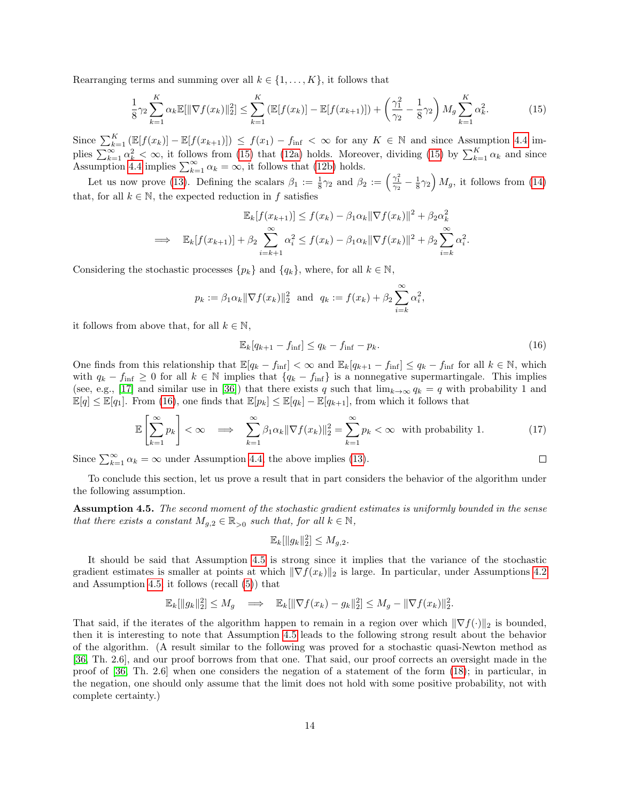Rearranging terms and summing over all  $k \in \{1, \ldots, K\}$ , it follows that

<span id="page-13-0"></span>
$$
\frac{1}{8}\gamma_2 \sum_{k=1}^K \alpha_k \mathbb{E}[\|\nabla f(x_k)\|_2^2] \le \sum_{k=1}^K \left(\mathbb{E}[f(x_k)] - \mathbb{E}[f(x_{k+1})]\right) + \left(\frac{\gamma_1^2}{\gamma_2} - \frac{1}{8}\gamma_2\right) M_g \sum_{k=1}^K \alpha_k^2. \tag{15}
$$

Since  $\sum_{k=1}^K \left( \mathbb{E}[f(x_k)] - \mathbb{E}[f(x_{k+1})] \right) \leq f(x_1) - f_{\text{inf}} < \infty$  for any  $K \in \mathbb{N}$  and since Assumption [4.4](#page-12-0) implies  $\sum_{k=1}^{\infty} \alpha_k^2 < \infty$ , it follows from [\(15\)](#page-13-0) that [\(12a\)](#page-12-1) holds. Moreover, dividing (15) by  $\sum_{k=1}^{K} \alpha_k$  and since Assumption [4.4](#page-12-0) implies  $\sum_{k=1}^{\infty} \alpha_k = \infty$ , it follows that [\(12b\)](#page-12-2) holds.

Let us now prove [\(13\)](#page-12-3). Defining the scalars  $\beta_1 := \frac{1}{8}\gamma_2$  and  $\beta_2 := \left(\frac{\gamma_1^2}{\gamma_2} - \frac{1}{8}\gamma_2\right)M_g$ , it follows from [\(14\)](#page-12-4) that, for all  $k \in \mathbb{N}$ , the expected reduction in f satisfies

$$
\mathbb{E}_k[f(x_{k+1})] \le f(x_k) - \beta_1 \alpha_k \|\nabla f(x_k)\|^2 + \beta_2 \alpha_k^2
$$
  
\n
$$
\implies \mathbb{E}_k[f(x_{k+1})] + \beta_2 \sum_{i=k+1}^{\infty} \alpha_i^2 \le f(x_k) - \beta_1 \alpha_k \|\nabla f(x_k)\|^2 + \beta_2 \sum_{i=k}^{\infty} \alpha_i^2.
$$

Considering the stochastic processes  $\{p_k\}$  and  $\{q_k\}$ , where, for all  $k \in \mathbb{N}$ ,

$$
p_k := \beta_1 \alpha_k \|\nabla f(x_k)\|_2^2
$$
 and  $q_k := f(x_k) + \beta_2 \sum_{i=k}^{\infty} \alpha_i^2$ ,

it follows from above that, for all  $k \in \mathbb{N}$ ,

<span id="page-13-1"></span>
$$
\mathbb{E}_k[q_{k+1} - f_{\text{inf}}] \le q_k - f_{\text{inf}} - p_k. \tag{16}
$$

 $\Box$ 

One finds from this relationship that  $\mathbb{E}[q_k - f_{\text{inf}}] < \infty$  and  $\mathbb{E}_k[q_{k+1} - f_{\text{inf}}] \le q_k - f_{\text{inf}}$  for all  $k \in \mathbb{N}$ , which with  $q_k - f_{\text{inf}} \geq 0$  for all  $k \in \mathbb{N}$  implies that  $\{q_k - f_{\text{inf}}\}$  is a nonnegative supermartingale. This implies (see, e.g., [\[17\]](#page-25-17) and similar use in [\[36\]](#page-26-4)) that there exists q such that  $\lim_{k\to\infty} q_k = q$  with probability 1 and  $\mathbb{E}[q] \leq \mathbb{E}[q_1]$ . From [\(16\)](#page-13-1), one finds that  $\mathbb{E}[p_k] \leq \mathbb{E}[q_k] - \mathbb{E}[q_{k+1}]$ , from which it follows that

<span id="page-13-3"></span>
$$
\mathbb{E}\left[\sum_{k=1}^{\infty} p_k\right] < \infty \quad \Longrightarrow \quad \sum_{k=1}^{\infty} \beta_1 \alpha_k \|\nabla f(x_k)\|_2^2 = \sum_{k=1}^{\infty} p_k < \infty \quad \text{with probability 1.} \tag{17}
$$

Since  $\sum_{k=1}^{\infty} \alpha_k = \infty$  under Assumption [4.4,](#page-12-0) the above implies [\(13\)](#page-12-3).

To conclude this section, let us prove a result that in part considers the behavior of the algorithm under the following assumption.

<span id="page-13-2"></span>Assumption 4.5. The second moment of the stochastic gradient estimates is uniformly bounded in the sense that there exists a constant  $M_{g,2} \in \mathbb{R}_{>0}$  such that, for all  $k \in \mathbb{N}$ ,

$$
\mathbb{E}_k[\|g_k\|_2^2] \le M_{g,2}.
$$

It should be said that Assumption [4.5](#page-13-2) is strong since it implies that the variance of the stochastic gradient estimates is smaller at points at which  $\|\nabla f(x_k)\|_2$  is large. In particular, under Assumptions [4.2](#page-5-1) and Assumption [4.5,](#page-13-2) it follows (recall [\(5\)](#page-5-7)) that

$$
\mathbb{E}_k[\|g_k\|_2^2] \le M_g \quad \Longrightarrow \quad \mathbb{E}_k[\|\nabla f(x_k) - g_k\|_2^2] \le M_g - \|\nabla f(x_k)\|_2^2.
$$

That said, if the iterates of the algorithm happen to remain in a region over which  $\|\nabla f(\cdot)\|_2$  is bounded, then it is interesting to note that Assumption [4.5](#page-13-2) leads to the following strong result about the behavior of the algorithm. (A result similar to the following was proved for a stochastic quasi-Newton method as [\[36,](#page-26-4) Th. 2.6], and our proof borrows from that one. That said, our proof corrects an oversight made in the proof of [\[36,](#page-26-4) Th. 2.6] when one considers the negation of a statement of the form [\(18\)](#page-14-0); in particular, in the negation, one should only assume that the limit does not hold with some positive probability, not with complete certainty.)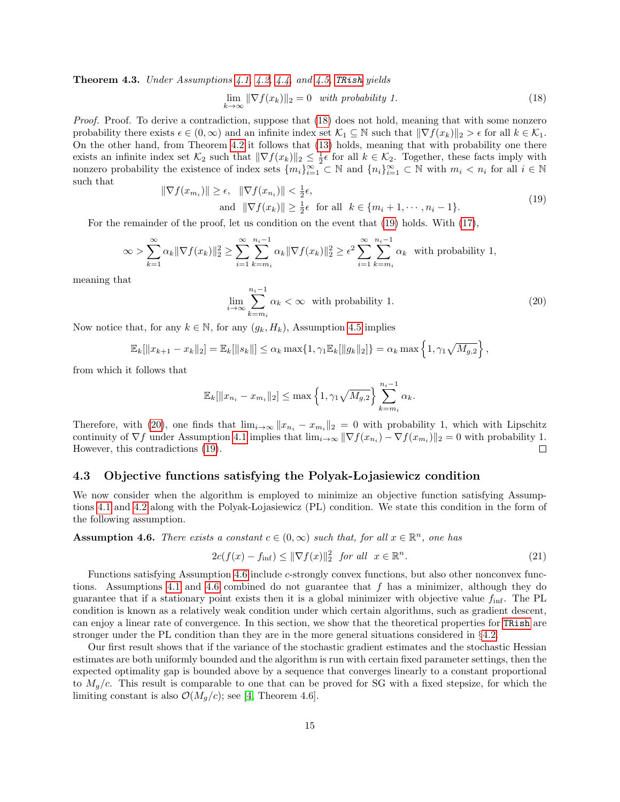**Theorem 4.3.** Under Assumptions [4.1,](#page-5-0) [4.2,](#page-5-1) [4.4,](#page-12-0) and [4.5,](#page-13-2) Traish yields

<span id="page-14-0"></span>
$$
\lim_{k \to \infty} \|\nabla f(x_k)\|_2 = 0 \quad with \ probability \ 1. \tag{18}
$$

Proof. Proof. To derive a contradiction, suppose that [\(18\)](#page-14-0) does not hold, meaning that with some nonzero probability there exists  $\epsilon \in (0,\infty)$  and an infinite index set  $\mathcal{K}_1 \subseteq \mathbb{N}$  such that  $\|\nabla f(x_k)\|_2 > \epsilon$  for all  $k \in \mathcal{K}_1$ . On the other hand, from Theorem [4.2](#page-12-5) it follows that [\(13\)](#page-12-3) holds, meaning that with probability one there exists an infinite index set  $\mathcal{K}_2$  such that  $\|\nabla f(x_k)\|_2 \leq \frac{1}{2}\epsilon$  for all  $k \in \mathcal{K}_2$ . Together, these facts imply with nonzero probability the existence of index sets  $\{m_i\}_{i=1}^{\infty} \subset \mathbb{N}$  and  $\{n_i\}_{i=1}^{\infty} \subset \mathbb{N}$  with  $m_i < n_i$  for all  $i \in \mathbb{N}$ such that  $\mathbb{F}$ 

<span id="page-14-1"></span>
$$
\nabla f(x_{m_i}) \|\geq \epsilon, \quad \|\nabla f(x_{n_i})\| < \frac{1}{2}\epsilon, \n\text{and } \|\nabla f(x_k)\| \geq \frac{1}{2}\epsilon \quad \text{for all } \quad k \in \{m_i + 1, \cdots, n_i - 1\}.
$$
\n
$$
(19)
$$

For the remainder of the proof, let us condition on the event that [\(19\)](#page-14-1) holds. With [\(17\)](#page-13-3),

$$
\infty > \sum_{k=1}^{\infty} \alpha_k \|\nabla f(x_k)\|_2^2 \ge \sum_{i=1}^{\infty} \sum_{k=m_i}^{n_i-1} \alpha_k \|\nabla f(x_k)\|_2^2 \ge \epsilon^2 \sum_{i=1}^{\infty} \sum_{k=m_i}^{n_i-1} \alpha_k
$$
 with probability 1,

meaning that

<span id="page-14-2"></span>
$$
\lim_{i \to \infty} \sum_{k=m_i}^{n_i - 1} \alpha_k < \infty \quad \text{with probability 1.} \tag{20}
$$

Now notice that, for any  $k \in \mathbb{N}$ , for any  $(g_k, H_k)$ , Assumption [4.5](#page-13-2) implies

$$
\mathbb{E}_k[\|x_{k+1} - x_k\|_2] = \mathbb{E}_k[\|s_k\|] \le \alpha_k \max\{1, \gamma_1 \mathbb{E}_k[\|g_k\|_2]\} = \alpha_k \max\left\{1, \gamma_1 \sqrt{M_{g,2}}\right\},\
$$

from which it follows that

$$
\mathbb{E}_{k}[\|x_{n_{i}}-x_{m_{i}}\|_{2}]\leq \max\left\{1,\gamma_{1}\sqrt{M_{g,2}}\right\}\sum_{k=m_{i}}^{n_{i}-1}\alpha_{k}.
$$

Therefore, with [\(20\)](#page-14-2), one finds that  $\lim_{i\to\infty} ||x_{n_i} - x_{m_i}||_2 = 0$  with probability 1, which with Lipschitz continuity of  $\nabla f$  under Assumption [4.1](#page-5-0) implies that  $\lim_{i\to\infty} \|\nabla f(x_{n_i}) - \nabla f(x_{m_i})\|_2 = 0$  with probability 1. However, this contradictions [\(19\)](#page-14-1).  $\Box$ 

#### 4.3 Objective functions satisfying the Polyak-Lojasiewicz condition

We now consider when the algorithm is employed to minimize an objective function satisfying Assump-tions [4.1](#page-5-0) and [4.2](#page-5-1) along with the Polyak-Lojasiewicz (PL) condition. We state this condition in the form of the following assumption.

<span id="page-14-3"></span>**Assumption 4.6.** There exists a constant  $c \in (0, \infty)$  such that, for all  $x \in \mathbb{R}^n$ , one has

$$
2c(f(x) - f_{\text{inf}}) \le ||\nabla f(x)||_2^2 \quad \text{for all} \quad x \in \mathbb{R}^n. \tag{21}
$$

Functions satisfying Assumption [4.6](#page-14-3) include  $c$ -strongly convex functions, but also other nonconvex func-tions. Assumptions [4.1](#page-5-0) and [4.6](#page-14-3) combined do not guarantee that  $f$  has a minimizer, although they do guarantee that if a stationary point exists then it is a global minimizer with objective value  $f_{\text{inf}}$ . The PL condition is known as a relatively weak condition under which certain algorithms, such as gradient descent, can enjoy a linear rate of convergence. In this section, we show that the theoretical properties for [TRish](#page-4-0) are stronger under the PL condition than they are in the more general situations considered in §[4.2.](#page-11-4)

Our first result shows that if the variance of the stochastic gradient estimates and the stochastic Hessian estimates are both uniformly bounded and the algorithm is run with certain fixed parameter settings, then the expected optimality gap is bounded above by a sequence that converges linearly to a constant proportional to  $M_q/c$ . This result is comparable to one that can be proved for SG with a fixed stepsize, for which the limiting constant is also  $\mathcal{O}(M_q/c)$ ; see [\[4,](#page-24-0) Theorem 4.6].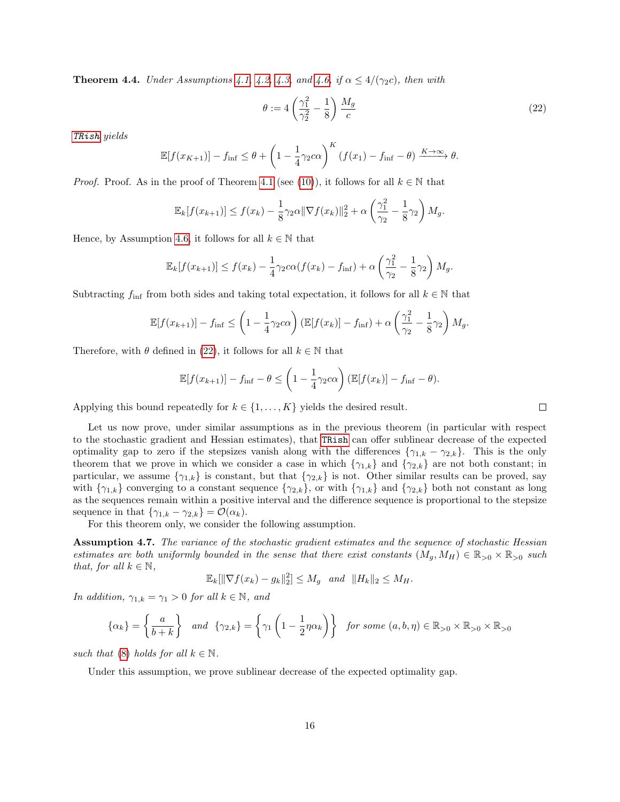**Theorem 4.4.** Under Assumptions [4.1,](#page-5-0) [4.2,](#page-5-1) [4.3,](#page-11-0) and [4.6,](#page-14-3) if  $\alpha \leq 4/(\gamma_2 c)$ , then with

<span id="page-15-0"></span>
$$
\theta := 4\left(\frac{\gamma_1^2}{\gamma_2^2} - \frac{1}{8}\right)\frac{M_g}{c} \tag{22}
$$

[TRish](#page-4-0) yields

$$
\mathbb{E}[f(x_{K+1})] - f_{\text{inf}} \leq \theta + \left(1 - \frac{1}{4}\gamma_2 c\alpha\right)^K (f(x_1) - f_{\text{inf}} - \theta) \xrightarrow{K \to \infty} \theta.
$$

*Proof.* Proof. As in the proof of Theorem [4.1](#page-11-3) (see [\(10\)](#page-12-6)), it follows for all  $k \in \mathbb{N}$  that

$$
\mathbb{E}_k[f(x_{k+1})] \le f(x_k) - \frac{1}{8}\gamma_2 \alpha \|\nabla f(x_k)\|_2^2 + \alpha \left(\frac{\gamma_1^2}{\gamma_2} - \frac{1}{8}\gamma_2\right)M_g.
$$

Hence, by Assumption [4.6,](#page-14-3) it follows for all  $k \in \mathbb{N}$  that

$$
\mathbb{E}_k[f(x_{k+1})] \le f(x_k) - \frac{1}{4}\gamma_2 c\alpha (f(x_k) - f_{\inf}) + \alpha \left(\frac{\gamma_1^2}{\gamma_2} - \frac{1}{8}\gamma_2\right)M_g.
$$

Subtracting  $f_{\text{inf}}$  from both sides and taking total expectation, it follows for all  $k \in \mathbb{N}$  that

$$
\mathbb{E}[f(x_{k+1})] - f_{\inf} \leq \left(1 - \frac{1}{4}\gamma_2 c\alpha\right) \left(\mathbb{E}[f(x_k)] - f_{\inf}\right) + \alpha \left(\frac{\gamma_1^2}{\gamma_2} - \frac{1}{8}\gamma_2\right) M_g.
$$

Therefore, with  $\theta$  defined in [\(22\)](#page-15-0), it follows for all  $k \in \mathbb{N}$  that

$$
\mathbb{E}[f(x_{k+1})] - f_{\text{inf}} - \theta \leq \left(1 - \frac{1}{4}\gamma_2 c\alpha\right) \left(\mathbb{E}[f(x_k)] - f_{\text{inf}} - \theta\right).
$$

Applying this bound repeatedly for  $k \in \{1, \ldots, K\}$  yields the desired result.

Let us now prove, under similar assumptions as in the previous theorem (in particular with respect to the stochastic gradient and Hessian estimates), that [TRish](#page-4-0) can offer sublinear decrease of the expected optimality gap to zero if the stepsizes vanish along with the differences  $\{\gamma_{1,k} - \gamma_{2,k}\}$ . This is the only theorem that we prove in which we consider a case in which  $\{\gamma_{1,k}\}\$  and  $\{\gamma_{2,k}\}\$  are not both constant; in particular, we assume  $\{\gamma_{1,k}\}\$ is constant, but that  $\{\gamma_{2,k}\}\$ is not. Other similar results can be proved, say with  $\{\gamma_{1,k}\}$  converging to a constant sequence  $\{\gamma_{2,k}\}$ , or with  $\{\gamma_{1,k}\}$  and  $\{\gamma_{2,k}\}$  both not constant as long as the sequences remain within a positive interval and the difference sequence is proportional to the stepsize sequence in that  $\{\gamma_{1,k} - \gamma_{2,k}\} = \mathcal{O}(\alpha_k)$ .

For this theorem only, we consider the following assumption.

<span id="page-15-1"></span>Assumption 4.7. The variance of the stochastic gradient estimates and the sequence of stochastic Hessian estimates are both uniformly bounded in the sense that there exist constants  $(M_g, M_H) \in \mathbb{R}_{>0} \times \mathbb{R}_{>0}$  such that, for all  $k \in \mathbb{N}$ ,

$$
\mathbb{E}_k[\|\nabla f(x_k) - g_k\|_2^2] \le M_g \text{ and } \|H_k\|_2 \le M_H.
$$

In addition,  $\gamma_{1,k} = \gamma_1 > 0$  for all  $k \in \mathbb{N}$ , and

$$
\{\alpha_k\} = \left\{\frac{a}{b+k}\right\} \quad and \quad \{\gamma_{2,k}\} = \left\{\gamma_1 \left(1 - \frac{1}{2}\eta \alpha_k\right)\right\} \quad \text{for some } (a, b, \eta) \in \mathbb{R}_{>0} \times \mathbb{R}_{>0} \times \mathbb{R}_{>0}
$$

such that [\(8\)](#page-8-0) holds for all  $k \in \mathbb{N}$ .

<span id="page-15-2"></span>Under this assumption, we prove sublinear decrease of the expected optimality gap.

 $\Box$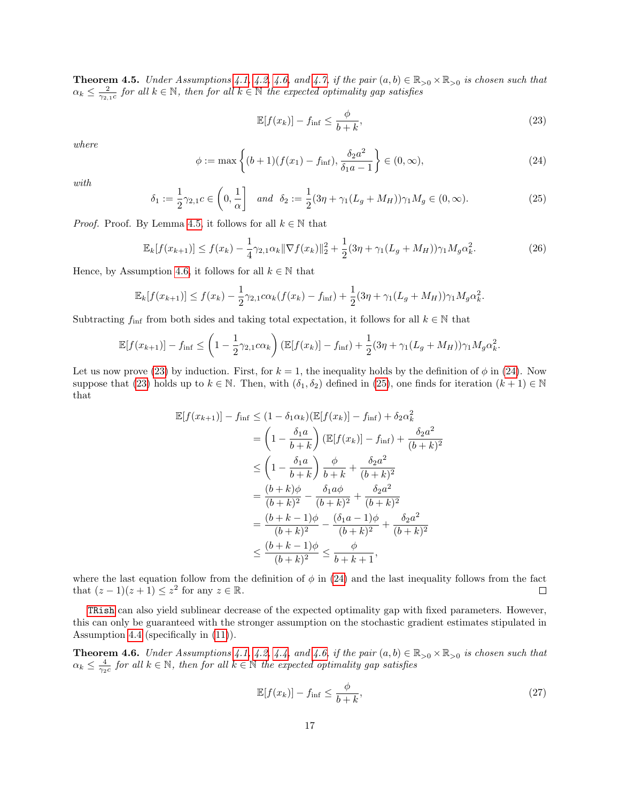**Theorem 4.5.** Under Assumptions [4.1,](#page-5-0) [4.2,](#page-5-1) [4.6,](#page-14-3) and [4.7,](#page-15-1) if the pair  $(a, b) \in \mathbb{R}_{>0} \times \mathbb{R}_{>0}$  is chosen such that  $\alpha_k \leq \frac{2}{\gamma_{2,1}c}$  for all  $k \in \mathbb{N}$ , then for all  $k \in \mathbb{N}$  the expected optimality gap satisfies

<span id="page-16-0"></span>
$$
\mathbb{E}[f(x_k)] - f_{\text{inf}} \le \frac{\phi}{b+k},\tag{23}
$$

where

<span id="page-16-1"></span>
$$
\phi := \max\left\{ (b+1)(f(x_1) - f_{\inf}), \frac{\delta_2 a^2}{\delta_1 a - 1} \right\} \in (0, \infty),\tag{24}
$$

with

<span id="page-16-2"></span>
$$
\delta_1 := \frac{1}{2}\gamma_{2,1}c \in \left(0, \frac{1}{\alpha}\right] \quad \text{and} \quad \delta_2 := \frac{1}{2}(3\eta + \gamma_1(L_g + M_H))\gamma_1 M_g \in (0, \infty). \tag{25}
$$

*Proof.* Proof. By Lemma [4.5,](#page-8-1) it follows for all  $k \in \mathbb{N}$  that

<span id="page-16-3"></span>
$$
\mathbb{E}_k[f(x_{k+1})] \le f(x_k) - \frac{1}{4}\gamma_{2,1}\alpha_k \|\nabla f(x_k)\|_2^2 + \frac{1}{2}(3\eta + \gamma_1(L_g + M_H))\gamma_1 M_g \alpha_k^2. \tag{26}
$$

Hence, by Assumption [4.6,](#page-14-3) it follows for all  $k \in \mathbb{N}$  that

$$
\mathbb{E}_k[f(x_{k+1})] \le f(x_k) - \frac{1}{2}\gamma_{2,1}c\alpha_k(f(x_k) - f_{\inf}) + \frac{1}{2}(3\eta + \gamma_1(L_g + M_H))\gamma_1 M_g \alpha_k^2.
$$

Subtracting  $f_{\text{inf}}$  from both sides and taking total expectation, it follows for all  $k \in \mathbb{N}$  that

$$
\mathbb{E}[f(x_{k+1})] - f_{\inf} \leq \left(1 - \frac{1}{2}\gamma_{2,1}c\alpha_k\right) \left(\mathbb{E}[f(x_k)] - f_{\inf}\right) + \frac{1}{2}(3\eta + \gamma_1(L_g + M_H))\gamma_1 M_g \alpha_k^2.
$$

Let us now prove [\(23\)](#page-16-0) by induction. First, for  $k = 1$ , the inequality holds by the definition of  $\phi$  in [\(24\)](#page-16-1). Now suppose that [\(23\)](#page-16-0) holds up to  $k \in \mathbb{N}$ . Then, with  $(\delta_1, \delta_2)$  defined in [\(25\)](#page-16-2), one finds for iteration  $(k + 1) \in \mathbb{N}$ that

$$
\mathbb{E}[f(x_{k+1})] - f_{\text{inf}} \leq (1 - \delta_1 \alpha_k) (\mathbb{E}[f(x_k)] - f_{\text{inf}}) + \delta_2 \alpha_k^2
$$
  
=  $\left(1 - \frac{\delta_1 a}{b + k}\right) (\mathbb{E}[f(x_k)] - f_{\text{inf}}) + \frac{\delta_2 a^2}{(b + k)^2}$   
 $\leq \left(1 - \frac{\delta_1 a}{b + k}\right) \frac{\phi}{b + k} + \frac{\delta_2 a^2}{(b + k)^2}$   
=  $\frac{(b + k)\phi}{(b + k)^2} - \frac{\delta_1 a \phi}{(b + k)^2} + \frac{\delta_2 a^2}{(b + k)^2}$   
=  $\frac{(b + k - 1)\phi}{(b + k)^2} - \frac{(\delta_1 a - 1)\phi}{(b + k)^2} + \frac{\delta_2 a^2}{(b + k)^2}$   
 $\leq \frac{(b + k - 1)\phi}{(b + k)^2} \leq \frac{\phi}{b + k + 1},$ 

where the last equation follow from the definition of  $\phi$  in [\(24\)](#page-16-1) and the last inequality follows from the fact that  $(z-1)(z+1) \leq z^2$  for any  $z \in \mathbb{R}$ .  $\Box$ 

[TRish](#page-4-0) can also yield sublinear decrease of the expected optimality gap with fixed parameters. However, this can only be guaranteed with the stronger assumption on the stochastic gradient estimates stipulated in Assumption [4.4](#page-12-0) (specifically in [\(11\)](#page-12-7)).

**Theorem 4.6.** Under Assumptions [4.1,](#page-5-0) [4.2,](#page-5-1) [4.4,](#page-12-0) and [4.6,](#page-14-3) if the pair  $(a, b) \in \mathbb{R}_{>0} \times \mathbb{R}_{>0}$  is chosen such that  $\alpha_k \leq \frac{4}{\gamma_2 c}$  for all  $k \in \mathbb{N}$ , then for all  $k \in \mathbb{N}$  the expected optimality gap satisfies

$$
\mathbb{E}[f(x_k)] - f_{\text{inf}} \le \frac{\phi}{b+k},\tag{27}
$$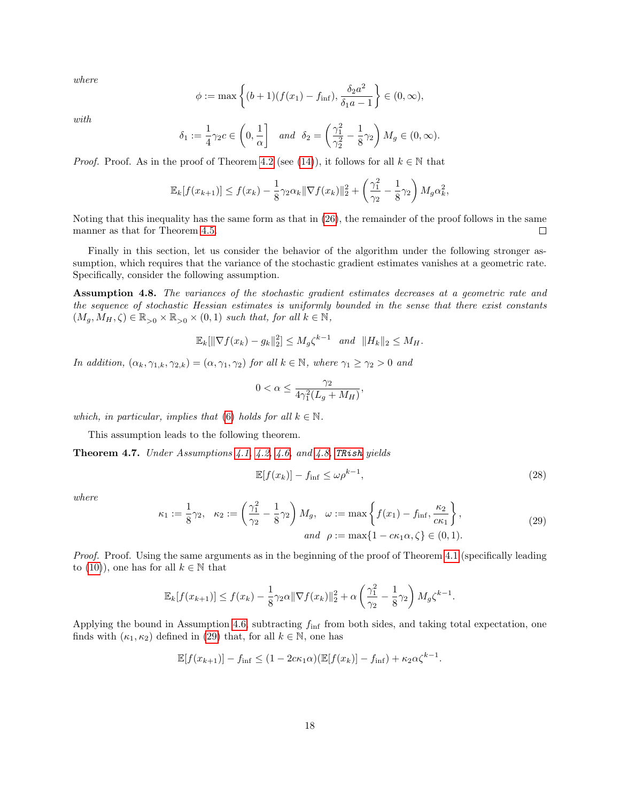where

$$
\phi := \max \left\{ (b+1)(f(x_1) - f_{\inf}), \frac{\delta_2 a^2}{\delta_1 a - 1} \right\} \in (0, \infty),
$$

with

$$
\delta_1 := \frac{1}{4}\gamma_2 c \in \left(0, \frac{1}{\alpha}\right] \quad and \quad \delta_2 = \left(\frac{\gamma_1^2}{\gamma_2^2} - \frac{1}{8}\gamma_2\right) M_g \in (0, \infty).
$$

*Proof.* Proof. As in the proof of Theorem [4.2](#page-12-5) (see [\(14\)](#page-12-4)), it follows for all  $k \in \mathbb{N}$  that

$$
\mathbb{E}_k[f(x_{k+1})] \le f(x_k) - \frac{1}{8}\gamma_2 \alpha_k \|\nabla f(x_k)\|_2^2 + \left(\frac{\gamma_1^2}{\gamma_2} - \frac{1}{8}\gamma_2\right) M_g \alpha_k^2,
$$

Noting that this inequality has the same form as that in [\(26\)](#page-16-3), the remainder of the proof follows in the same manner as that for Theorem [4.5.](#page-15-2)  $\Box$ 

Finally in this section, let us consider the behavior of the algorithm under the following stronger assumption, which requires that the variance of the stochastic gradient estimates vanishes at a geometric rate. Specifically, consider the following assumption.

<span id="page-17-0"></span>Assumption 4.8. The variances of the stochastic gradient estimates decreases at a geometric rate and the sequence of stochastic Hessian estimates is uniformly bounded in the sense that there exist constants  $(M_g, M_H, \zeta) \in \mathbb{R}_{>0} \times \mathbb{R}_{>0} \times (0, 1)$  such that, for all  $k \in \mathbb{N}$ ,

$$
\mathbb{E}_k[\|\nabla f(x_k) - g_k\|_2^2] \le M_g \zeta^{k-1} \quad \text{and} \quad \|H_k\|_2 \le M_H.
$$

In addition,  $(\alpha_k, \gamma_{1,k}, \gamma_{2,k}) = (\alpha, \gamma_1, \gamma_2)$  for all  $k \in \mathbb{N}$ , where  $\gamma_1 \geq \gamma_2 > 0$  and

$$
0 < \alpha \le \frac{\gamma_2}{4\gamma_1^2(L_g + M_H)},
$$

which, in particular, implies that [\(6\)](#page-6-1) holds for all  $k \in \mathbb{N}$ .

This assumption leads to the following theorem.

Theorem 4.7. Under Assumptions [4.1,](#page-5-0) [4.2,](#page-5-1) [4.6,](#page-14-3) and [4.8,](#page-17-0) [TRish](#page-4-0) yields

<span id="page-17-2"></span>
$$
\mathbb{E}[f(x_k)] - f_{\text{inf}} \le \omega \rho^{k-1},\tag{28}
$$

where

<span id="page-17-1"></span>
$$
\kappa_1 := \frac{1}{8}\gamma_2, \quad \kappa_2 := \left(\frac{\gamma_1^2}{\gamma_2} - \frac{1}{8}\gamma_2\right)M_g, \quad \omega := \max\left\{f(x_1) - f_{\inf}, \frac{\kappa_2}{c\kappa_1}\right\},\tag{29}
$$
\n
$$
and \quad \rho := \max\{1 - c\kappa_1\alpha, \zeta\} \in (0, 1).
$$

Proof. Proof. Using the same arguments as in the beginning of the proof of Theorem [4.1](#page-11-3) (specifically leading to [\(10\)](#page-12-6)), one has for all  $k \in \mathbb{N}$  that

$$
\mathbb{E}_k[f(x_{k+1})] \le f(x_k) - \frac{1}{8}\gamma_2 \alpha \|\nabla f(x_k)\|_2^2 + \alpha \left(\frac{\gamma_1^2}{\gamma_2} - \frac{1}{8}\gamma_2\right) M_g \zeta^{k-1}.
$$

Applying the bound in Assumption [4.6,](#page-14-3) subtracting  $f_{\text{inf}}$  from both sides, and taking total expectation, one finds with  $(\kappa_1, \kappa_2)$  defined in [\(29\)](#page-17-1) that, for all  $k \in \mathbb{N}$ , one has

$$
\mathbb{E}[f(x_{k+1})] - f_{\text{inf}} \le (1 - 2c\kappa_1 \alpha) (\mathbb{E}[f(x_k)] - f_{\text{inf}}) + \kappa_2 \alpha \zeta^{k-1}.
$$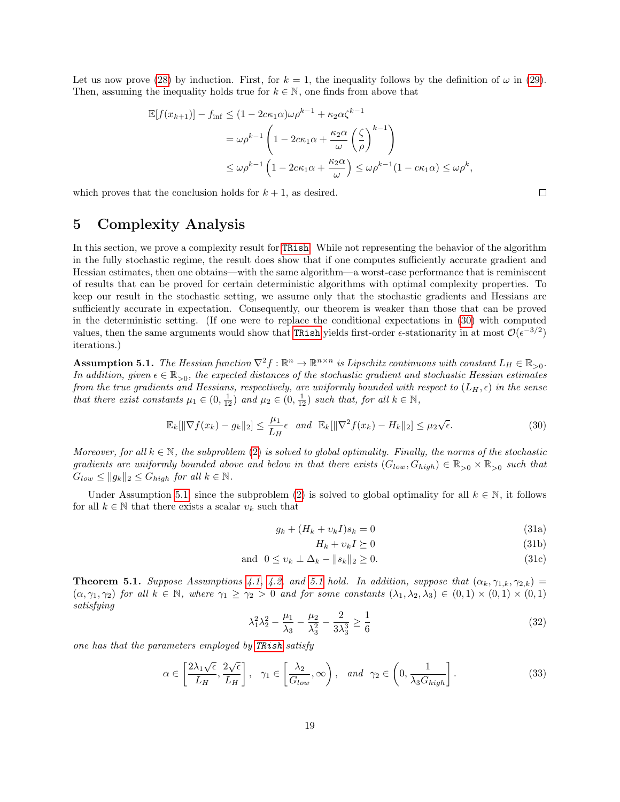Let us now prove [\(28\)](#page-17-2) by induction. First, for  $k = 1$ , the inequality follows by the definition of  $\omega$  in [\(29\)](#page-17-1). Then, assuming the inequality holds true for  $k \in \mathbb{N}$ , one finds from above that

$$
\mathbb{E}[f(x_{k+1})] - f_{\inf} \le (1 - 2c\kappa_1 \alpha)\omega \rho^{k-1} + \kappa_2 \alpha \zeta^{k-1}
$$
  
=  $\omega \rho^{k-1} \left(1 - 2c\kappa_1 \alpha + \frac{\kappa_2 \alpha}{\omega} \left(\frac{\zeta}{\rho}\right)^{k-1}\right)$   
 $\le \omega \rho^{k-1} \left(1 - 2c\kappa_1 \alpha + \frac{\kappa_2 \alpha}{\omega}\right) \le \omega \rho^{k-1} (1 - c\kappa_1 \alpha) \le \omega \rho^k,$ 

which proves that the conclusion holds for  $k + 1$ , as desired.

## 5 Complexity Analysis

In this section, we prove a complexity result for [TRish](#page-4-0). While not representing the behavior of the algorithm in the fully stochastic regime, the result does show that if one computes sufficiently accurate gradient and Hessian estimates, then one obtains—with the same algorithm—a worst-case performance that is reminiscent of results that can be proved for certain deterministic algorithms with optimal complexity properties. To keep our result in the stochastic setting, we assume only that the stochastic gradients and Hessians are sufficiently accurate in expectation. Consequently, our theorem is weaker than those that can be proved in the deterministic setting. (If one were to replace the conditional expectations in [\(30\)](#page-18-0) with computed values, then the same arguments would show that [TRish](#page-4-0) yields first-order  $\epsilon$ -stationarity in at most  $\mathcal{O}(\epsilon^{-3/2})$ iterations.)

<span id="page-18-1"></span>**Assumption 5.1.** The Hessian function  $\nabla^2 f : \mathbb{R}^n \to \mathbb{R}^{n \times n}$  is Lipschitz continuous with constant  $L_H \in \mathbb{R}_{>0}$ . In addition, given  $\epsilon \in \mathbb{R}_{>0}$ , the expected distances of the stochastic gradient and stochastic Hessian estimates from the true gradients and Hessians, respectively, are uniformly bounded with respect to  $(L_H, \epsilon)$  in the sense that there exist constants  $\mu_1 \in (0, \frac{1}{12})$  and  $\mu_2 \in (0, \frac{1}{12})$  such that, for all  $k \in \mathbb{N}$ ,

<span id="page-18-0"></span>
$$
\mathbb{E}_k[\|\nabla f(x_k) - g_k\|_2] \le \frac{\mu_1}{L_H} \epsilon \quad \text{and} \quad \mathbb{E}_k[\|\nabla^2 f(x_k) - H_k\|_2] \le \mu_2 \sqrt{\epsilon}.\tag{30}
$$

Moreover, for all  $k \in \mathbb{N}$ , the subproblem [\(2\)](#page-4-2) is solved to global optimality. Finally, the norms of the stochastic gradients are uniformly bounded above and below in that there exists  $(G_{low}, G_{high}) \in \mathbb{R}_{>0} \times \mathbb{R}_{>0}$  such that  $G_{low} \leq ||g_k||_2 \leq G_{high}$  for all  $k \in \mathbb{N}$ .

Under Assumption [5.1,](#page-18-1) since the subproblem [\(2\)](#page-4-2) is solved to global optimality for all  $k \in \mathbb{N}$ , it follows for all  $k \in \mathbb{N}$  that there exists a scalar  $v_k$  such that

<span id="page-18-2"></span>
$$
g_k + (H_k + v_k I)s_k = 0 \tag{31a}
$$

<span id="page-18-5"></span><span id="page-18-3"></span>
$$
H_k + v_k I \succeq 0 \tag{31b}
$$

$$
\text{and } 0 \le v_k \perp \Delta_k - \|s_k\|_2 \ge 0. \tag{31c}
$$

**Theorem [5.1](#page-18-1).** Suppose Assumptions [4.1,](#page-5-0) [4.2,](#page-5-1) and 5.1 hold. In addition, suppose that  $(\alpha_k, \gamma_{1,k}, \gamma_{2,k})$  =  $(\alpha, \gamma_1, \gamma_2)$  for all  $k \in \mathbb{N}$ , where  $\gamma_1 \geq \gamma_2 > 0$  and for some constants  $(\lambda_1, \lambda_2, \lambda_3) \in (0, 1) \times (0, 1) \times (0, 1)$ satisfying

<span id="page-18-6"></span>
$$
\lambda_1^2 \lambda_2^2 - \frac{\mu_1}{\lambda_3} - \frac{\mu_2}{\lambda_3^2} - \frac{2}{3\lambda_3^3} \ge \frac{1}{6}
$$
 (32)

one has that the parameters employed by [TRish](#page-4-0) satisfy

<span id="page-18-4"></span>
$$
\alpha \in \left[\frac{2\lambda_1\sqrt{\epsilon}}{L_H}, \frac{2\sqrt{\epsilon}}{L_H}\right], \quad \gamma_1 \in \left[\frac{\lambda_2}{G_{low}}, \infty\right), \quad \text{and} \quad \gamma_2 \in \left(0, \frac{1}{\lambda_3 G_{high}}\right].\tag{33}
$$

 $\Box$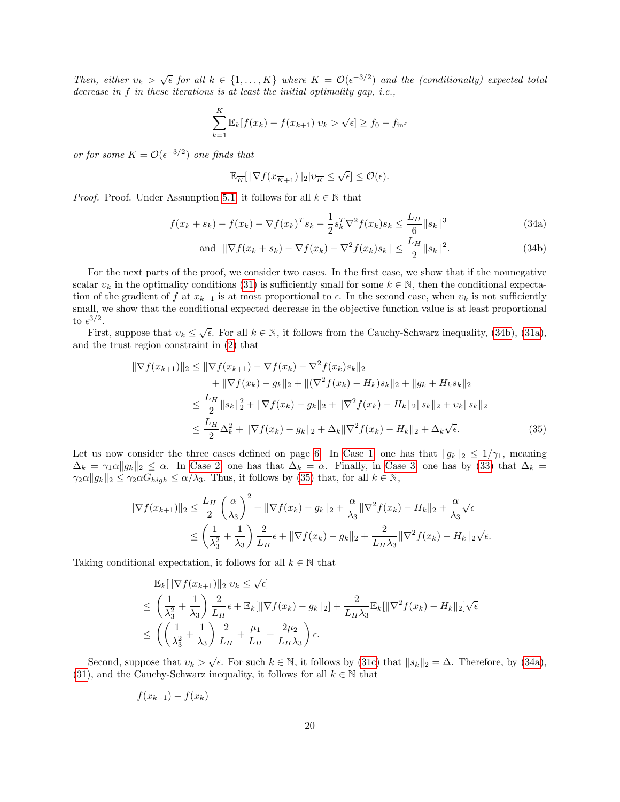Then, either  $v_k > \sqrt{\epsilon}$  for all  $k \in \{1,\ldots,K\}$  where  $K = \mathcal{O}(\epsilon^{-3/2})$  and the (conditionally) expected total decrease in f in these iterations is at least the initial optimality gap, i.e.,

$$
\sum_{k=1}^{K} \mathbb{E}_{k}[f(x_{k}) - f(x_{k+1}) | v_{k} > \sqrt{\epsilon}] \ge f_{0} - f_{\inf}
$$

or for some  $\overline{K} = \mathcal{O}(\epsilon^{-3/2})$  one finds that

<span id="page-19-2"></span><span id="page-19-0"></span>
$$
\mathbb{E}_{\overline{K}}[\|\nabla f(x_{\overline{K}+1})\|_2 | v_{\overline{K}} \le \sqrt{\epsilon}] \le \mathcal{O}(\epsilon).
$$

*Proof.* Proof. Under Assumption [5.1,](#page-18-1) it follows for all  $k \in \mathbb{N}$  that

$$
f(x_k + s_k) - f(x_k) - \nabla f(x_k)^T s_k - \frac{1}{2} s_k^T \nabla^2 f(x_k) s_k \le \frac{L_H}{6} \|s_k\|^3
$$
\n(34a)

<span id="page-19-1"></span>and 
$$
\|\nabla f(x_k + s_k) - \nabla f(x_k) - \nabla^2 f(x_k) s_k\| \le \frac{L_H}{2} \|s_k\|^2
$$
. (34b)

For the next parts of the proof, we consider two cases. In the first case, we show that if the nonnegative scalar  $v_k$  in the optimality conditions [\(31\)](#page-18-2) is sufficiently small for some  $k \in \mathbb{N}$ , then the conditional expectation of the gradient of f at  $x_{k+1}$  is at most proportional to  $\epsilon$ . In the second case, when  $v_k$  is not sufficiently small, we show that the conditional expected decrease in the objective function value is at least proportional to  $\epsilon^{3/2}$ .

First, suppose that  $v_k \leq \sqrt{\epsilon}$ . For all  $k \in \mathbb{N}$ , it follows from the Cauchy-Schwarz inequality, [\(34b\)](#page-19-0), [\(31a\)](#page-18-3), and the trust region constraint in [\(2\)](#page-4-2) that

$$
\|\nabla f(x_{k+1})\|_{2} \leq \|\nabla f(x_{k+1}) - \nabla f(x_{k}) - \nabla^{2} f(x_{k})s_{k}\|_{2} \n+ \|\nabla f(x_{k}) - g_{k}\|_{2} + \|(\nabla^{2} f(x_{k}) - H_{k})s_{k}\|_{2} + \|g_{k} + H_{k}s_{k}\|_{2} \n\leq \frac{L_{H}}{2} \|s_{k}\|_{2}^{2} + \|\nabla f(x_{k}) - g_{k}\|_{2} + \|\nabla^{2} f(x_{k}) - H_{k}\|_{2} \|s_{k}\|_{2} + v_{k} \|s_{k}\|_{2} \n\leq \frac{L_{H}}{2} \Delta_{k}^{2} + \|\nabla f(x_{k}) - g_{k}\|_{2} + \Delta_{k} \|\nabla^{2} f(x_{k}) - H_{k}\|_{2} + \Delta_{k} \sqrt{\epsilon}.
$$
\n(35)

Let us now consider the three cases defined on page [6.](#page-5-3) In [Case 1,](#page-5-3) one has that  $||g_k||_2 \leq 1/\gamma_1$ , meaning  $\Delta_k = \gamma_1 \alpha ||g_k||_2 \leq \alpha$ . In [Case 2,](#page-5-5) one has that  $\Delta_k = \alpha$ . Finally, in [Case 3,](#page-5-6) one has by [\(33\)](#page-18-4) that  $\Delta_k =$  $\gamma_2 \alpha \|g_k\|_2 \leq \gamma_2 \alpha G_{high} \leq \alpha/\lambda_3$ . Thus, it follows by [\(35\)](#page-19-1) that, for all  $k \in \mathbb{N}$ ,

$$
\begin{split} \|\nabla f(x_{k+1})\|_{2} &\leq \frac{L_H}{2} \left(\frac{\alpha}{\lambda_3}\right)^2 + \|\nabla f(x_k) - g_k\|_{2} + \frac{\alpha}{\lambda_3} \|\nabla^2 f(x_k) - H_k\|_{2} + \frac{\alpha}{\lambda_3} \sqrt{\epsilon} \\ &\leq \left(\frac{1}{\lambda_3^2} + \frac{1}{\lambda_3}\right) \frac{2}{L_H} \epsilon + \|\nabla f(x_k) - g_k\|_{2} + \frac{2}{L_H \lambda_3} \|\nabla^2 f(x_k) - H_k\|_{2} \sqrt{\epsilon} .\end{split}
$$

Taking conditional expectation, it follows for all  $k \in \mathbb{N}$  that

$$
\mathbb{E}_{k}[\|\nabla f(x_{k+1})\|_{2}|v_{k} \leq \sqrt{\epsilon}]
$$
\n
$$
\leq \left(\frac{1}{\lambda_{3}^{2}} + \frac{1}{\lambda_{3}}\right) \frac{2}{L_{H}} \epsilon + \mathbb{E}_{k}[\|\nabla f(x_{k}) - g_{k}\|_{2}] + \frac{2}{L_{H}\lambda_{3}} \mathbb{E}_{k}[\|\nabla^{2} f(x_{k}) - H_{k}\|_{2}]\sqrt{\epsilon}
$$
\n
$$
\leq \left(\left(\frac{1}{\lambda_{3}^{2}} + \frac{1}{\lambda_{3}}\right) \frac{2}{L_{H}} + \frac{\mu_{1}}{L_{H}} + \frac{2\mu_{2}}{L_{H}\lambda_{3}}\right) \epsilon.
$$

Second, suppose that  $v_k > \sqrt{\epsilon}$ . For such  $k \in \mathbb{N}$ , it follows by [\(31c\)](#page-18-5) that  $||s_k||_2 = \Delta$ . Therefore, by [\(34a\)](#page-19-2), [\(31\)](#page-18-2), and the Cauchy-Schwarz inequality, it follows for all  $k \in \mathbb{N}$  that

$$
f(x_{k+1}) - f(x_k)
$$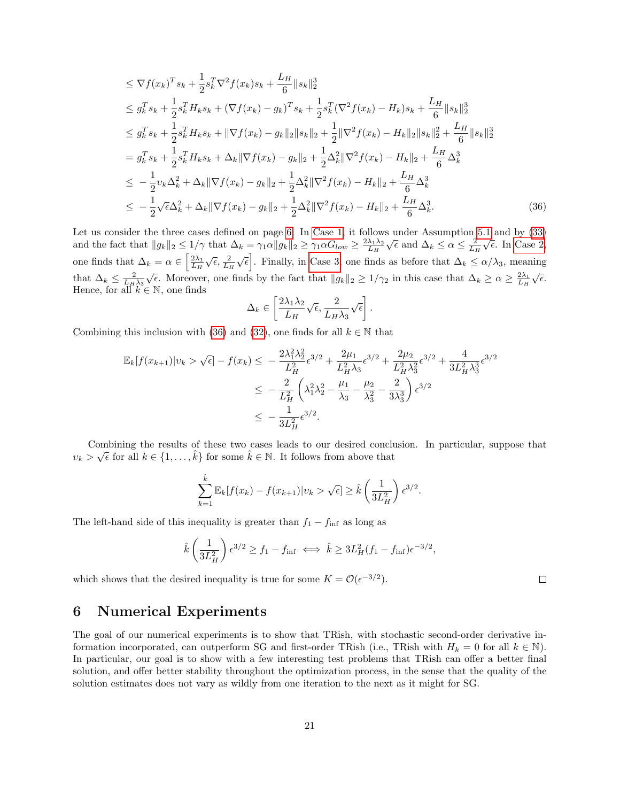$$
\leq \nabla f(x_k)^T s_k + \frac{1}{2} s_k^T \nabla^2 f(x_k) s_k + \frac{L_H}{6} \|s_k\|_2^3
$$
  
\n
$$
\leq g_k^T s_k + \frac{1}{2} s_k^T H_k s_k + (\nabla f(x_k) - g_k)^T s_k + \frac{1}{2} s_k^T (\nabla^2 f(x_k) - H_k) s_k + \frac{L_H}{6} \|s_k\|_2^3
$$
  
\n
$$
\leq g_k^T s_k + \frac{1}{2} s_k^T H_k s_k + \|\nabla f(x_k) - g_k\|_2 \|s_k\|_2 + \frac{1}{2} \|\nabla^2 f(x_k) - H_k\|_2 \|s_k\|_2^2 + \frac{L_H}{6} \|s_k\|_2^3
$$
  
\n
$$
= g_k^T s_k + \frac{1}{2} s_k^T H_k s_k + \Delta_k \|\nabla f(x_k) - g_k\|_2 + \frac{1}{2} \Delta_k^2 \|\nabla^2 f(x_k) - H_k\|_2 + \frac{L_H}{6} \Delta_k^3
$$
  
\n
$$
\leq -\frac{1}{2} v_k \Delta_k^2 + \Delta_k \|\nabla f(x_k) - g_k\|_2 + \frac{1}{2} \Delta_k^2 \|\nabla^2 f(x_k) - H_k\|_2 + \frac{L_H}{6} \Delta_k^3
$$
  
\n
$$
\leq -\frac{1}{2} \sqrt{\epsilon} \Delta_k^2 + \Delta_k \|\nabla f(x_k) - g_k\|_2 + \frac{1}{2} \Delta_k^2 \|\nabla^2 f(x_k) - H_k\|_2 + \frac{L_H}{6} \Delta_k^3.
$$
 (36)

Let us consider the three cases defined on page [6.](#page-5-3) In [Case 1,](#page-5-3) it follows under Assumption [5.1](#page-18-1) and by [\(33\)](#page-18-4) and the fact that  $||g_k||_2 \leq 1/\gamma$  that  $\Delta_k = \gamma_1 \alpha ||g_k||_2 \geq \gamma_1 \alpha G_{low} \geq \frac{2\lambda_1 \lambda_2}{L_H}$  $\sqrt{\epsilon}$  and  $\Delta_k \le \alpha \le \frac{2}{L_H}$ . I and by (55).<br> $\sqrt{\epsilon}$ . In [Case 2,](#page-5-5) one finds that  $\Delta_k = \alpha \in \left[\frac{2\lambda_1}{L_H}\right]$  $\sqrt{\epsilon}, \frac{2}{L_H}$  $\sqrt{\epsilon}$ . Finally, in [Case 3,](#page-5-6) one finds as before that  $\Delta_k \leq \alpha/\lambda_3$ , meaning that  $\Delta_k \leq \frac{2}{L_H \lambda_3}$  $\sqrt{\epsilon}$ . Moreover, one finds by the fact that  $||g_k||_2 \geq 1/\gamma_2$  in this case that  $\Delta_k \geq \alpha \geq \frac{2\lambda_1}{L_H}$  $\sqrt{\epsilon}$ . Hence, for all  $k \in \mathbb{N}$ , one finds

<span id="page-20-0"></span>
$$
\Delta_k \in \left[\frac{2\lambda_1\lambda_2}{L_H}\sqrt{\epsilon}, \frac{2}{L_H\lambda_3}\sqrt{\epsilon}\right].
$$

Combining this inclusion with [\(36\)](#page-20-0) and [\(32\)](#page-18-6), one finds for all  $k \in \mathbb{N}$  that

$$
\mathbb{E}_{k}[f(x_{k+1})|v_{k} > \sqrt{\epsilon}] - f(x_{k}) \leq -\frac{2\lambda_{1}^{2}\lambda_{2}^{2}}{L_{H}^{2}}\epsilon^{3/2} + \frac{2\mu_{1}}{L_{H}^{2}\lambda_{3}}\epsilon^{3/2} + \frac{2\mu_{2}}{L_{H}^{2}\lambda_{3}^{2}}\epsilon^{3/2} + \frac{4}{3L_{H}^{2}\lambda_{3}^{3}}\epsilon^{3/2}
$$
  

$$
\leq -\frac{2}{L_{H}^{2}}\left(\lambda_{1}^{2}\lambda_{2}^{2} - \frac{\mu_{1}}{\lambda_{3}} - \frac{\mu_{2}}{\lambda_{3}^{2}} - \frac{2}{3\lambda_{3}^{3}}\right)\epsilon^{3/2}
$$
  

$$
\leq -\frac{1}{3L_{H}^{2}}\epsilon^{3/2}.
$$

Combining the results of these two cases leads to our desired conclusion. In particular, suppose that  $v_k > \sqrt{\epsilon}$  for all  $k \in \{1, ..., \hat{k}\}$  for some  $\hat{k} \in \mathbb{N}$ . It follows from above that

$$
\sum_{k=1}^{\hat{k}} \mathbb{E}_k[f(x_k) - f(x_{k+1}) | v_k > \sqrt{\epsilon}] \ge \hat{k} \left( \frac{1}{3L_H^2} \right) \epsilon^{3/2}.
$$

The left-hand side of this inequality is greater than  $f_1 - f_{\text{inf}}$  as long as

$$
\hat{k}\left(\frac{1}{3L_H^2}\right)\epsilon^{3/2} \ge f_1 - f_{\text{inf}} \iff \hat{k} \ge 3L_H^2(f_1 - f_{\text{inf}})\epsilon^{-3/2},
$$

which shows that the desired inequality is true for some  $K = \mathcal{O}(\epsilon^{-3/2})$ .

## 6 Numerical Experiments

The goal of our numerical experiments is to show that TRish, with stochastic second-order derivative information incorporated, can outperform SG and first-order TRish (i.e., TRish with  $H_k = 0$  for all  $k \in \mathbb{N}$ ). In particular, our goal is to show with a few interesting test problems that TRish can offer a better final solution, and offer better stability throughout the optimization process, in the sense that the quality of the solution estimates does not vary as wildly from one iteration to the next as it might for SG.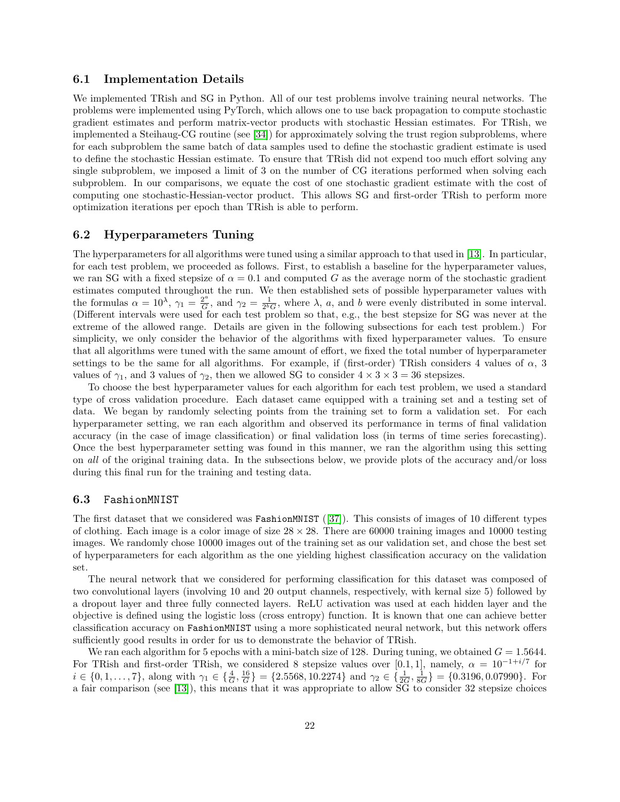#### 6.1 Implementation Details

We implemented TRish and SG in Python. All of our test problems involve training neural networks. The problems were implemented using PyTorch, which allows one to use back propagation to compute stochastic gradient estimates and perform matrix-vector products with stochastic Hessian estimates. For TRish, we implemented a Steihaug-CG routine (see [\[34\]](#page-26-2)) for approximately solving the trust region subproblems, where for each subproblem the same batch of data samples used to define the stochastic gradient estimate is used to define the stochastic Hessian estimate. To ensure that TRish did not expend too much effort solving any single subproblem, we imposed a limit of 3 on the number of CG iterations performed when solving each subproblem. In our comparisons, we equate the cost of one stochastic gradient estimate with the cost of computing one stochastic-Hessian-vector product. This allows SG and first-order TRish to perform more optimization iterations per epoch than TRish is able to perform.

#### 6.2 Hyperparameters Tuning

The hyperparameters for all algorithms were tuned using a similar approach to that used in [\[13\]](#page-25-0). In particular, for each test problem, we proceeded as follows. First, to establish a baseline for the hyperparameter values, we ran SG with a fixed stepsize of  $\alpha = 0.1$  and computed G as the average norm of the stochastic gradient estimates computed throughout the run. We then established sets of possible hyperparameter values with the formulas  $\alpha = 10^{\lambda}$ ,  $\gamma_1 = \frac{2^a}{G}$  $\frac{2^a}{G}$ , and  $\gamma_2 = \frac{1}{2^b G}$ , where  $\lambda$ , a, and b were evenly distributed in some interval. (Different intervals were used for each test problem so that, e.g., the best stepsize for SG was never at the extreme of the allowed range. Details are given in the following subsections for each test problem.) For simplicity, we only consider the behavior of the algorithms with fixed hyperparameter values. To ensure that all algorithms were tuned with the same amount of effort, we fixed the total number of hyperparameter settings to be the same for all algorithms. For example, if (first-order) TRish considers 4 values of  $\alpha$ , 3 values of  $\gamma_1$ , and 3 values of  $\gamma_2$ , then we allowed SG to consider  $4 \times 3 \times 3 = 36$  stepsizes.

To choose the best hyperparameter values for each algorithm for each test problem, we used a standard type of cross validation procedure. Each dataset came equipped with a training set and a testing set of data. We began by randomly selecting points from the training set to form a validation set. For each hyperparameter setting, we ran each algorithm and observed its performance in terms of final validation accuracy (in the case of image classification) or final validation loss (in terms of time series forecasting). Once the best hyperparameter setting was found in this manner, we ran the algorithm using this setting on all of the original training data. In the subsections below, we provide plots of the accuracy and/or loss during this final run for the training and testing data.

#### 6.3 FashionMNIST

The first dataset that we considered was FashionMNIST ([\[37\]](#page-26-8)). This consists of images of 10 different types of clothing. Each image is a color image of size  $28 \times 28$ . There are 60000 training images and 10000 testing images. We randomly chose 10000 images out of the training set as our validation set, and chose the best set of hyperparameters for each algorithm as the one yielding highest classification accuracy on the validation set.

The neural network that we considered for performing classification for this dataset was composed of two convolutional layers (involving 10 and 20 output channels, respectively, with kernal size 5) followed by a dropout layer and three fully connected layers. ReLU activation was used at each hidden layer and the objective is defined using the logistic loss (cross entropy) function. It is known that one can achieve better classification accuracy on FashionMNIST using a more sophisticated neural network, but this network offers sufficiently good results in order for us to demonstrate the behavior of TRish.

We ran each algorithm for 5 epochs with a mini-batch size of 128. During tuning, we obtained  $G = 1.5644$ . For TRish and first-order TRish, we considered 8 stepsize values over [0.1, 1], namely,  $\alpha = 10^{-1+i/7}$  for  $i \in \{0, 1, \ldots, 7\}$ , along with  $\gamma_1 \in \{\frac{4}{G}, \frac{16}{G}\} = \{2.5568, 10.2274\}$  and  $\gamma_2 \in \{\frac{1}{2G}, \frac{1}{8G}\} = \{0.3196, 0.07990\}$ . For a fair comparison (see [\[13\]](#page-25-0)), this means that it was appropriate to allow SG to consider 32 stepsize choices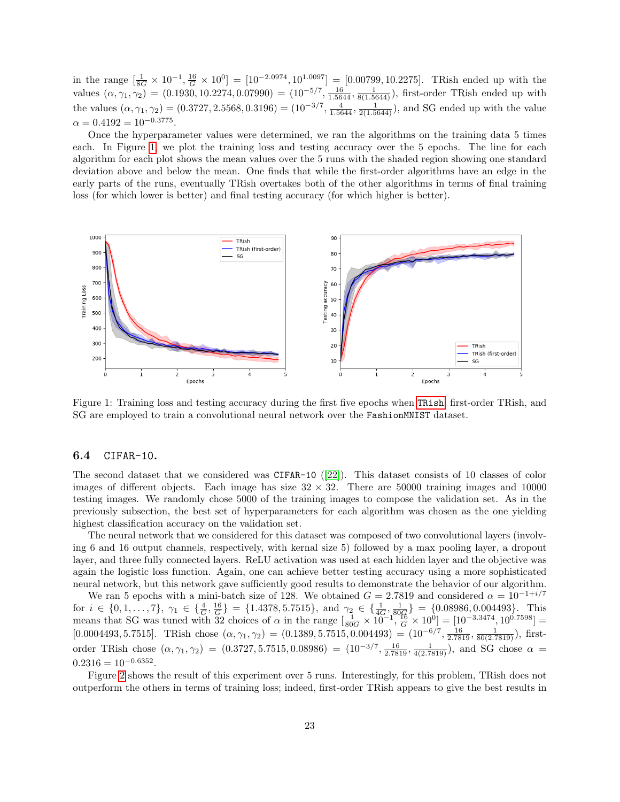in the range  $\left[\frac{1}{8G} \times 10^{-1}, \frac{16}{G} \times 10^{0}\right] = \left[10^{-2.0974}, 10^{1.0097}\right] = \left[0.00799, 10.2275\right]$ . TRish ended up with the values  $(\alpha, \gamma_1, \gamma_2) = (0.1930, 10.2274, 0.07990) = (10^{-5/7}, \frac{16}{1.5644}, \frac{1}{8(1.5644)})$ , first-order TRish ended up with the values  $(\alpha, \gamma_1, \gamma_2) = (0.3727, 2.5568, 0.3196) = (10^{-3/7}, \frac{4}{1.5644}, \frac{1}{2(1.5644)}),$  and SG ended up with the value  $\alpha = 0.4192 = 10^{-0.3775}.$ 

Once the hyperparameter values were determined, we ran the algorithms on the training data 5 times each. In Figure [1,](#page-22-0) we plot the training loss and testing accuracy over the 5 epochs. The line for each algorithm for each plot shows the mean values over the 5 runs with the shaded region showing one standard deviation above and below the mean. One finds that while the first-order algorithms have an edge in the early parts of the runs, eventually TRish overtakes both of the other algorithms in terms of final training loss (for which lower is better) and final testing accuracy (for which higher is better).

<span id="page-22-0"></span>

Figure 1: Training loss and testing accuracy during the first five epochs when [TRish](#page-4-0), first-order TRish, and SG are employed to train a convolutional neural network over the FashionMNIST dataset.

#### 6.4 CIFAR-10.

The second dataset that we considered was CIFAR-10 ([\[22\]](#page-25-18)). This dataset consists of 10 classes of color images of different objects. Each image has size  $32 \times 32$ . There are 50000 training images and 10000 testing images. We randomly chose 5000 of the training images to compose the validation set. As in the previously subsection, the best set of hyperparameters for each algorithm was chosen as the one yielding highest classification accuracy on the validation set.

The neural network that we considered for this dataset was composed of two convolutional layers (involving 6 and 16 output channels, respectively, with kernal size 5) followed by a max pooling layer, a dropout layer, and three fully connected layers. ReLU activation was used at each hidden layer and the objective was again the logistic loss function. Again, one can achieve better testing accuracy using a more sophisticated neural network, but this network gave sufficiently good results to demonstrate the behavior of our algorithm.

We ran 5 epochs with a mini-batch size of 128. We obtained  $G = 2.7819$  and considered  $\alpha = 10^{-1+i/7}$ for  $i \in \{0, 1, ..., 7\}$ ,  $\gamma_1 \in \{\frac{4}{G}, \frac{16}{G}\} = \{1.4378, 5.7515\}$ , and  $\gamma_2 \in \{\frac{1}{4G}, \frac{1}{80G}\} = \{0.08986, 0.004493\}$ . This means that SG was tuned with 32 choices of  $\alpha$  in the range  $\left[\frac{1}{80G} \times 10^{-1}, \frac{16}{G} \times 10^{0}\right] = \left[10^{-3.3474}, 10^{0.7598}\right] =$  $[0.0004493, 5.7515]$ . TRish chose  $(\alpha, \gamma_1, \gamma_2) = (0.1389, 5.7515, 0.004493) = (10^{-6/7}, \frac{16}{2.7819}, \frac{1}{80(2.7819)})$ , firstorder TRish chose  $(\alpha, \gamma_1, \gamma_2) = (0.3727, 5.7515, 0.08986) = (10^{-3/7}, \frac{16}{2.7819}, \frac{1}{4(2.7819)})$ , and SG chose  $\alpha =$  $0.2316 = 10^{-0.6352}$ .

Figure [2](#page-23-0) shows the result of this experiment over 5 runs. Interestingly, for this problem, TRish does not outperform the others in terms of training loss; indeed, first-order TRish appears to give the best results in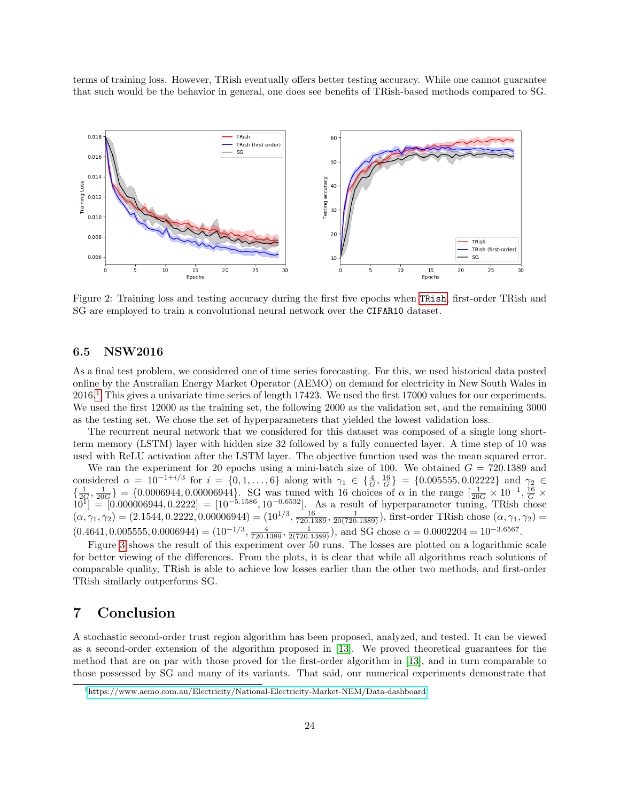terms of training loss. However, TRish eventually offers better testing accuracy. While one cannot guarantee that such would be the behavior in general, one does see benefits of TRish-based methods compared to SG.

<span id="page-23-0"></span>

Figure 2: Training loss and testing accuracy during the first five epochs when [TRish](#page-4-0), first-order TRish and SG are employed to train a convolutional neural network over the CIFAR10 dataset.

#### 6.5 NSW2016

As a final test problem, we considered one of time series forecasting. For this, we used historical data posted online by the Australian Energy Market Operator (AEMO) on demand for electricity in New South Wales in 2016.[1](#page-23-1) This gives a univariate time series of length 17423. We used the first 17000 values for our experiments. We used the first 12000 as the training set, the following 2000 as the validation set, and the remaining 3000 as the testing set. We chose the set of hyperparameters that yielded the lowest validation loss.

The recurrent neural network that we considered for this dataset was composed of a single long shortterm memory (LSTM) layer with hidden size 32 followed by a fully connected layer. A time step of 10 was used with ReLU activation after the LSTM layer. The objective function used was the mean squared error.

We ran the experiment for 20 epochs using a mini-batch size of 100. We obtained  $G = 720.1389$  and considered  $\alpha = 10^{-1+i/3}$  for  $i = \{0, 1, ..., 6\}$  along with  $\gamma_1 \in \{\frac{4}{G}, \frac{16}{G}\} = \{0.005555, 0.02222\}$  and  $\gamma_2 \in$  $\{\frac{1}{2G}, \frac{1}{20G}\}\$  = {0.0006944, 0.00006944}. SG was tuned with 16 choices of  $\alpha$  in the range  $\left[\frac{1}{20G} \times 10^{-1}, \frac{16}{G} \times \right]$  $10^{1}$  = [0.000006944, 0.2222] = [10<sup>-5.1586</sup>, 10<sup>-0.6532</sup>]. As a result of hyperparameter tuning, TRish chose  $(\alpha, \gamma_1, \gamma_2) = (2.1544, 0.2222, 0.00006944) = (10^{1/3}, \frac{16}{720.1389}, \frac{1}{20(720.1389)})$ , first-order TRish chose  $(\alpha, \gamma_1, \gamma_2) =$  $(0.4641, 0.005555, 0.0006944) = (10^{-1/3}, \frac{4}{720.1389}, \frac{1}{2(720.1389)})$ , and SG chose  $\alpha = 0.0002204 = 10^{-3.6567}$ .

Figure [3](#page-24-10) shows the result of this experiment over 50 runs. The losses are plotted on a logarithmic scale for better viewing of the differences. From the plots, it is clear that while all algorithms reach solutions of comparable quality, TRish is able to achieve low losses earlier than the other two methods, and first-order TRish similarly outperforms SG.

### 7 Conclusion

A stochastic second-order trust region algorithm has been proposed, analyzed, and tested. It can be viewed as a second-order extension of the algorithm proposed in [\[13\]](#page-25-0). We proved theoretical guarantees for the method that are on par with those proved for the first-order algorithm in [\[13\]](#page-25-0), and in turn comparable to those possessed by SG and many of its variants. That said, our numerical experiments demonstrate that

<span id="page-23-1"></span><sup>1</sup><https://www.aemo.com.au/Electricity/National-Electricity-Market-NEM/Data-dashboard>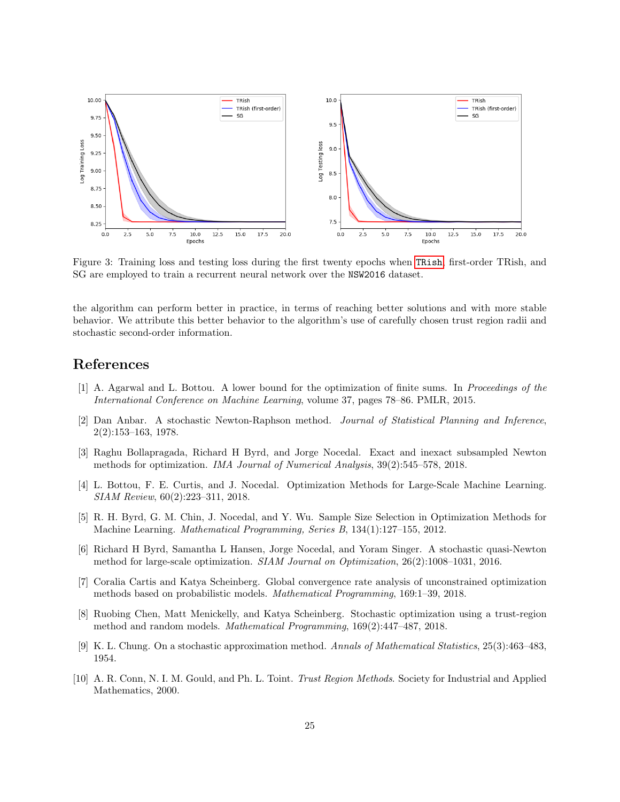<span id="page-24-10"></span>

Figure 3: Training loss and testing loss during the first twenty epochs when [TRish](#page-4-0), first-order TRish, and SG are employed to train a recurrent neural network over the NSW2016 dataset.

the algorithm can perform better in practice, in terms of reaching better solutions and with more stable behavior. We attribute this better behavior to the algorithm's use of carefully chosen trust region radii and stochastic second-order information.

## References

- <span id="page-24-1"></span>[1] A. Agarwal and L. Bottou. A lower bound for the optimization of finite sums. In Proceedings of the International Conference on Machine Learning, volume 37, pages 78–86. PMLR, 2015.
- <span id="page-24-4"></span>[2] Dan Anbar. A stochastic Newton-Raphson method. Journal of Statistical Planning and Inference, 2(2):153–163, 1978.
- <span id="page-24-6"></span>[3] Raghu Bollapragada, Richard H Byrd, and Jorge Nocedal. Exact and inexact subsampled Newton methods for optimization. IMA Journal of Numerical Analysis, 39(2):545–578, 2018.
- <span id="page-24-0"></span>[4] L. Bottou, F. E. Curtis, and J. Nocedal. Optimization Methods for Large-Scale Machine Learning. SIAM Review, 60(2):223–311, 2018.
- <span id="page-24-2"></span>[5] R. H. Byrd, G. M. Chin, J. Nocedal, and Y. Wu. Sample Size Selection in Optimization Methods for Machine Learning. Mathematical Programming, Series B, 134(1):127–155, 2012.
- <span id="page-24-5"></span>[6] Richard H Byrd, Samantha L Hansen, Jorge Nocedal, and Yoram Singer. A stochastic quasi-Newton method for large-scale optimization. SIAM Journal on Optimization, 26(2):1008–1031, 2016.
- <span id="page-24-8"></span>[7] Coralia Cartis and Katya Scheinberg. Global convergence rate analysis of unconstrained optimization methods based on probabilistic models. Mathematical Programming, 169:1–39, 2018.
- <span id="page-24-7"></span>[8] Ruobing Chen, Matt Menickelly, and Katya Scheinberg. Stochastic optimization using a trust-region method and random models. Mathematical Programming, 169(2):447–487, 2018.
- <span id="page-24-3"></span>[9] K. L. Chung. On a stochastic approximation method. Annals of Mathematical Statistics, 25(3):463–483, 1954.
- <span id="page-24-9"></span>[10] A. R. Conn, N. I. M. Gould, and Ph. L. Toint. Trust Region Methods. Society for Industrial and Applied Mathematics, 2000.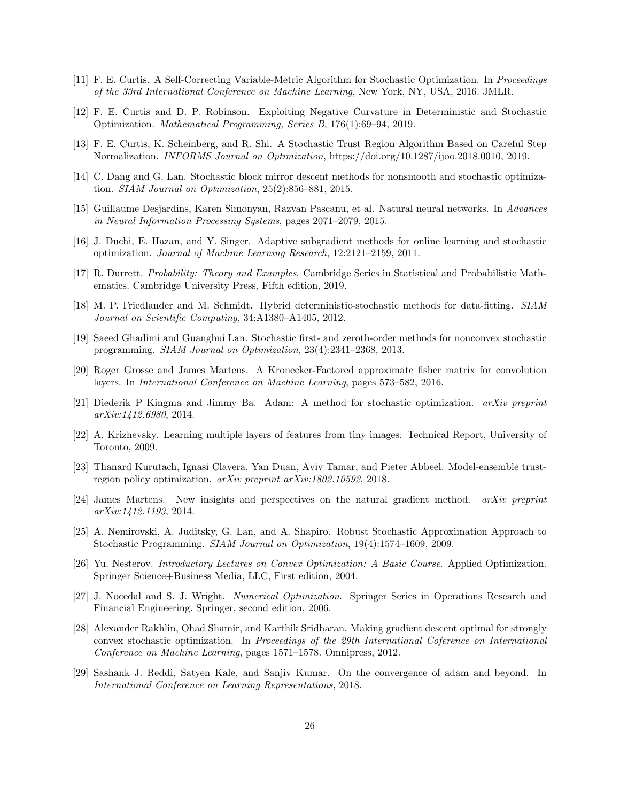- <span id="page-25-7"></span>[11] F. E. Curtis. A Self-Correcting Variable-Metric Algorithm for Stochastic Optimization. In Proceedings of the 33rd International Conference on Machine Learning, New York, NY, USA, 2016. JMLR.
- <span id="page-25-6"></span>[12] F. E. Curtis and D. P. Robinson. Exploiting Negative Curvature in Deterministic and Stochastic Optimization. Mathematical Programming, Series B, 176(1):69–94, 2019.
- <span id="page-25-0"></span>[13] F. E. Curtis, K. Scheinberg, and R. Shi. A Stochastic Trust Region Algorithm Based on Careful Step Normalization. INFORMS Journal on Optimization, https://doi.org/10.1287/ijoo.2018.0010, 2019.
- <span id="page-25-2"></span>[14] C. Dang and G. Lan. Stochastic block mirror descent methods for nonsmooth and stochastic optimization. SIAM Journal on Optimization, 25(2):856–881, 2015.
- <span id="page-25-9"></span>[15] Guillaume Desjardins, Karen Simonyan, Razvan Pascanu, et al. Natural neural networks. In Advances in Neural Information Processing Systems, pages 2071–2079, 2015.
- <span id="page-25-11"></span>[16] J. Duchi, E. Hazan, and Y. Singer. Adaptive subgradient methods for online learning and stochastic optimization. Journal of Machine Learning Research, 12:2121–2159, 2011.
- <span id="page-25-17"></span>[17] R. Durrett. Probability: Theory and Examples. Cambridge Series in Statistical and Probabilistic Mathematics. Cambridge University Press, Fifth edition, 2019.
- <span id="page-25-3"></span>[18] M. P. Friedlander and M. Schmidt. Hybrid deterministic-stochastic methods for data-fitting. SIAM Journal on Scientific Computing, 34:A1380–A1405, 2012.
- <span id="page-25-5"></span>[19] Saeed Ghadimi and Guanghui Lan. Stochastic first- and zeroth-order methods for nonconvex stochastic programming. SIAM Journal on Optimization, 23(4):2341–2368, 2013.
- <span id="page-25-10"></span>[20] Roger Grosse and James Martens. A Kronecker-Factored approximate fisher matrix for convolution layers. In International Conference on Machine Learning, pages 573–582, 2016.
- <span id="page-25-12"></span>[21] Diederik P Kingma and Jimmy Ba. Adam: A method for stochastic optimization. arXiv preprint arXiv:1412.6980, 2014.
- <span id="page-25-18"></span>[22] A. Krizhevsky. Learning multiple layers of features from tiny images. Technical Report, University of Toronto, 2009.
- <span id="page-25-14"></span>[23] Thanard Kurutach, Ignasi Clavera, Yan Duan, Aviv Tamar, and Pieter Abbeel. Model-ensemble trustregion policy optimization. arXiv preprint arXiv:1802.10592, 2018.
- <span id="page-25-8"></span>[24] James Martens. New insights and perspectives on the natural gradient method. arXiv preprint arXiv:1412.1193, 2014.
- <span id="page-25-4"></span>[25] A. Nemirovski, A. Juditsky, G. Lan, and A. Shapiro. Robust Stochastic Approximation Approach to Stochastic Programming. SIAM Journal on Optimization, 19(4):1574–1609, 2009.
- <span id="page-25-16"></span>[26] Yu. Nesterov. Introductory Lectures on Convex Optimization: A Basic Course. Applied Optimization. Springer Science+Business Media, LLC, First edition, 2004.
- <span id="page-25-15"></span>[27] J. Nocedal and S. J. Wright. Numerical Optimization. Springer Series in Operations Research and Financial Engineering. Springer, second edition, 2006.
- <span id="page-25-1"></span>[28] Alexander Rakhlin, Ohad Shamir, and Karthik Sridharan. Making gradient descent optimal for strongly convex stochastic optimization. In Proceedings of the 29th International Coference on International Conference on Machine Learning, pages 1571–1578. Omnipress, 2012.
- <span id="page-25-13"></span>[29] Sashank J. Reddi, Satyen Kale, and Sanjiv Kumar. On the convergence of adam and beyond. In International Conference on Learning Representations, 2018.